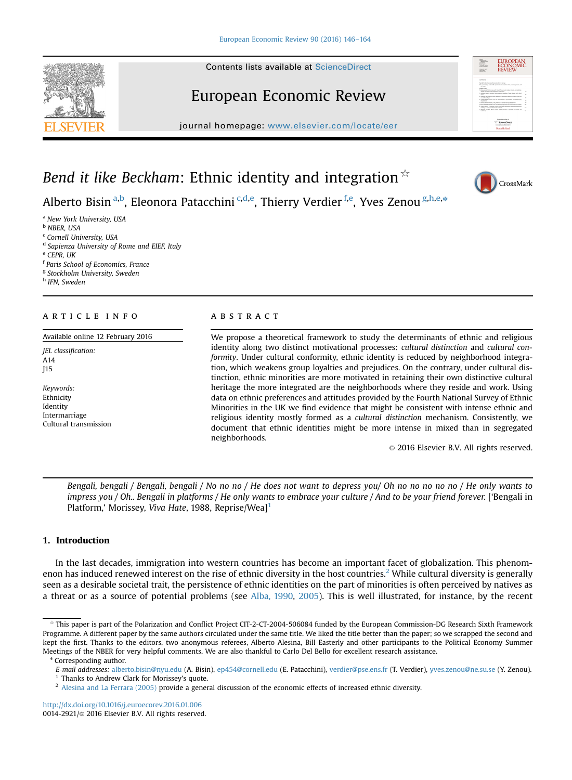# European Economic Review

journal homepage: <www.elsevier.com/locate/eer>



CrossMark



Alberto Bisin <sup>a,b</sup>, Eleonora Patacchini <sup>c,d,e</sup>, Thierry Verdier <sup>f,e</sup>, Yves Zenou <sup>g,h,e,</sup>\*



<sup>b</sup> NBER, USA

<sup>c</sup> Cornell University, USA

<sup>d</sup> Sapienza University of Rome and EIEF, Italy

<sup>e</sup> CEPR, UK

<sup>f</sup> Paris School of Economics, France

<sup>g</sup> Stockholm University, Sweden

<sup>h</sup> IFN, Sweden

## ARTICIE INFO

Available online 12 February 2016

JEL classification: A14 J15

Keywords: Ethnicity Identity Intermarriage Cultural transmission

## **ABSTRACT**

We propose a theoretical framework to study the determinants of ethnic and religious identity along two distinct motivational processes: cultural distinction and cultural conformity. Under cultural conformity, ethnic identity is reduced by neighborhood integration, which weakens group loyalties and prejudices. On the contrary, under cultural distinction, ethnic minorities are more motivated in retaining their own distinctive cultural heritage the more integrated are the neighborhoods where they reside and work. Using data on ethnic preferences and attitudes provided by the Fourth National Survey of Ethnic Minorities in the UK we find evidence that might be consistent with intense ethnic and religious identity mostly formed as a cultural distinction mechanism. Consistently, we document that ethnic identities might be more intense in mixed than in segregated neighborhoods.

 $\odot$  2016 Elsevier B.V. All rights reserved.

Bengali, bengali / Bengali, bengali / No no no / He does not want to depress you/ Oh no no no no no / He only wants to impress you / Oh.. Bengali in platforms / He only wants to embrace your culture / And to be your friend forever. ['Bengali in Platform,' Morissey, *Viva Hate*, 1988, Reprise/Wea]<sup>1</sup>

## 1. Introduction

In the last decades, immigration into western countries has become an important facet of globalization. This phenomenon has induced renewed interest on the rise of ethnic diversity in the host countries.<sup>2</sup> While cultural diversity is generally seen as a desirable societal trait, the persistence of ethnic identities on the part of minorities is often perceived by natives as a threat or as a source of potential problems (see [Alba, 1990,](#page-17-0) [2005\)](#page-17-0). This is well illustrated, for instance, by the recent

\* Corresponding author.

<http://dx.doi.org/10.1016/j.euroecorev.2016.01.006> 0014-2921/@ 2016 Elsevier B.V. All rights reserved.

This paper is part of the Polarization and Conflict Project CIT-2-CT-2004-506084 funded by the European Commission-DG Research Sixth Framework Programme. A different paper by the same authors circulated under the same title. We liked the title better than the paper; so we scrapped the second and kept the first. Thanks to the editors, two anonymous referees, Alberto Alesina, Bill Easterly and other participants to the Political Economy Summer Meetings of the NBER for very helpful comments. We are also thankful to Carlo Del Bello for excellent research assistance.

E-mail addresses: [alberto.bisin@nyu.edu](mailto:alberto.bisin@nyu.edu) (A. Bisin), [ep454@cornell.edu](mailto:ep454@cornell.edu) (E. Patacchini), [verdier@pse.ens.fr](mailto:verdier@pse.ens.fr) (T. Verdier), [yves.zenou@ne.su.se](mailto:yves.zenou@ne.su.se) (Y. Zenou).

<sup>&</sup>lt;sup>1</sup> Thanks to Andrew Clark for Morissey's quote.

<sup>&</sup>lt;sup>2</sup> [Alesina and La Ferrara \(2005\)](#page-17-0) provide a general discussion of the economic effects of increased ethnic diversity.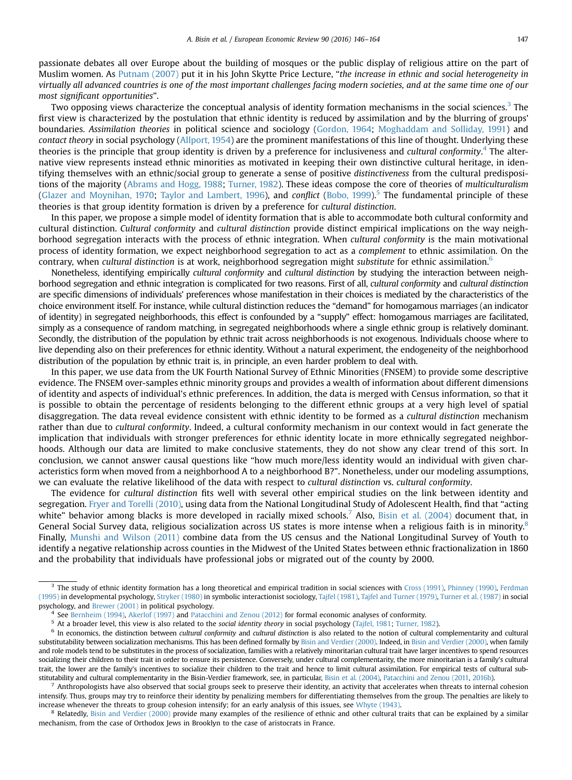passionate debates all over Europe about the building of mosques or the public display of religious attire on the part of Muslim women. As [Putnam \(2007\)](#page-18-0) put it in his John Skytte Price Lecture, "the increase in ethnic and social heterogeneity in virtually all advanced countries is one of the most important challenges facing modern societies, and at the same time one of our most significant opportunities".

Two opposing views characterize the conceptual analysis of identity formation mechanisms in the social sciences.<sup>3</sup> The first view is characterized by the postulation that ethnic identity is reduced by assimilation and by the blurring of groups' boundaries. Assimilation theories in political science and sociology ([Gordon, 1964;](#page-17-0) [Moghaddam and Solliday, 1991](#page-17-0)) and contact theory in social psychology ([Allport, 1954\)](#page-17-0) are the prominent manifestations of this line of thought. Underlying these theories is the principle that group identity is driven by a preference for inclusiveness and cultural conformity.<sup>4</sup> The alternative view represents instead ethnic minorities as motivated in keeping their own distinctive cultural heritage, in identifying themselves with an ethnic/social group to generate a sense of positive distinctiveness from the cultural predispositions of the majority [\(Abrams and Hogg, 1988;](#page-17-0) [Turner, 1982\)](#page-18-0). These ideas compose the core of theories of multiculturalism ([Glazer and Moynihan, 1970;](#page-17-0) [Taylor and Lambert, 1996\)](#page-18-0), and conflict [\(Bobo, 1999](#page-17-0)).<sup>5</sup> The fundamental principle of these theories is that group identity formation is driven by a preference for cultural distinction.

In this paper, we propose a simple model of identity formation that is able to accommodate both cultural conformity and cultural distinction. Cultural conformity and cultural distinction provide distinct empirical implications on the way neighborhood segregation interacts with the process of ethnic integration. When cultural conformity is the main motivational process of identity formation, we expect neighborhood segregation to act as a complement to ethnic assimilation. On the contrary, when cultural distinction is at work, neighborhood segregation might substitute for ethnic assimilation.<sup>6</sup>

Nonetheless, identifying empirically cultural conformity and cultural distinction by studying the interaction between neighborhood segregation and ethnic integration is complicated for two reasons. First of all, cultural conformity and cultural distinction are specific dimensions of individuals' preferences whose manifestation in their choices is mediated by the characteristics of the choice environment itself. For instance, while cultural distinction reduces the "demand" for homogamous marriages (an indicator of identity) in segregated neighborhoods, this effect is confounded by a "supply" effect: homogamous marriages are facilitated, simply as a consequence of random matching, in segregated neighborhoods where a single ethnic group is relatively dominant. Secondly, the distribution of the population by ethnic trait across neighborhoods is not exogenous. Individuals choose where to live depending also on their preferences for ethnic identity. Without a natural experiment, the endogeneity of the neighborhood distribution of the population by ethnic trait is, in principle, an even harder problem to deal with.

In this paper, we use data from the UK Fourth National Survey of Ethnic Minorities (FNSEM) to provide some descriptive evidence. The FNSEM over-samples ethnic minority groups and provides a wealth of information about different dimensions of identity and aspects of individual's ethnic preferences. In addition, the data is merged with Census information, so that it is possible to obtain the percentage of residents belonging to the different ethnic groups at a very high level of spatial disaggregation. The data reveal evidence consistent with ethnic identity to be formed as a cultural distinction mechanism rather than due to cultural conformity. Indeed, a cultural conformity mechanism in our context would in fact generate the implication that individuals with stronger preferences for ethnic identity locate in more ethnically segregated neighborhoods. Although our data are limited to make conclusive statements, they do not show any clear trend of this sort. In conclusion, we cannot answer causal questions like "how much more/less identity would an individual with given characteristics form when moved from a neighborhood A to a neighborhood B?". Nonetheless, under our modeling assumptions, we can evaluate the relative likelihood of the data with respect to cultural distinction vs. cultural conformity.

The evidence for cultural distinction fits well with several other empirical studies on the link between identity and segregation. [Fryer and Torelli \(2010\)](#page-17-0), using data from the National Longitudinal Study of Adolescent Health, find that "acting white" behavior among blacks is more developed in racially mixed schools.<sup>7</sup> Also, [Bisin et al. \(2004\)](#page-17-0) document that, in General Social Survey data, religious socialization across US states is more intense when a religious faith is in minority.<sup>8</sup> Finally, [Munshi and Wilson \(2011\)](#page-18-0) combine data from the US census and the National Longitudinal Survey of Youth to identify a negative relationship across counties in the Midwest of the United States between ethnic fractionalization in 1860 and the probability that individuals have professional jobs or migrated out of the county by 2000.

The study of ethnic identity formation has a long theoretical and empirical tradition in social sciences with [Cross \(1991\),](#page-17-0) [Phinney \(1990\),](#page-18-0) [Ferdman](#page-17-0) [\(1995\)](#page-17-0) in developmental psychology, [Stryker \(1980\)](#page-18-0) in symbolic interactionist sociology, [Tajfel \(1981\),](#page-18-0) [Tajfel and Turner \(1979\)](#page-18-0), [Turner et al. \(1987\)](#page-18-0) in social psychology, and [Brewer \(2001\)](#page-17-0) in political psychology.

<sup>4</sup> See [Bernheim \(1994\),](#page-17-0) [Akerlof \(1997\)](#page-17-0) and [Patacchini and Zenou \(2012\)](#page-18-0) for formal economic analyses of conformity.

<sup>&</sup>lt;sup>5</sup> At a broader level, this view is also related to the social identity theory in social psychology [\(Tajfel, 1981](#page-18-0); [Turner, 1982](#page-18-0)).

 $6$  In economics, the distinction between cultural conformity and cultural distinction is also related to the notion of cultural complementarity and cultural substitutability between socialization mechanisms. This has been defined formally by [Bisin and Verdier \(2000\)](#page-17-0). Indeed, in Bisin and Verdier (2000), when family and role models tend to be substitutes in the process of socialization, families with a relatively minoritarian cultural trait have larger incentives to spend resources socializing their children to their trait in order to ensure its persistence. Conversely, under cultural complementarity, the more minoritarian is a family's cultural trait, the lower are the family's incentives to socialize their children to the trait and hence to limit cultural assimilation. For empirical tests of cultural substitutability and cultural complementarity in the Bisin-Verdier framework, see, in particular, [Bisin et al. \(2004\)](#page-17-0), [Patacchini and Zenou \(2011](#page-18-0), [2016b\)](#page-18-0).

<sup>7</sup> Anthropologists have also observed that social groups seek to preserve their identity, an activity that accelerates when threats to internal cohesion intensify. Thus, groups may try to reinforce their identity by penalizing members for differentiating themselves from the group. The penalties are likely to increase whenever the threats to group cohesion intensify; for an early analysis of this issues, see [Whyte \(1943\).](#page-18-0)

<sup>&</sup>lt;sup>8</sup> Relatedly, [Bisin and Verdier \(2000\)](#page-17-0) provide many examples of the resilience of ethnic and other cultural traits that can be explained by a similar mechanism, from the case of Orthodox Jews in Brooklyn to the case of aristocrats in France.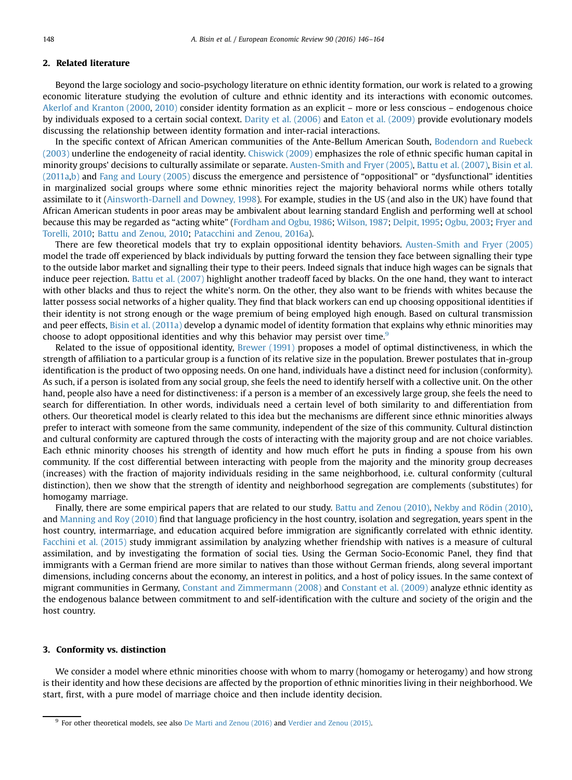## 2. Related literature

Beyond the large sociology and socio-psychology literature on ethnic identity formation, our work is related to a growing economic literature studying the evolution of culture and ethnic identity and its interactions with economic outcomes. [Akerlof and Kranton \(2000](#page-17-0), [2010\)](#page-17-0) consider identity formation as an explicit – more or less conscious – endogenous choice by individuals exposed to a certain social context. [Darity et al. \(2006\)](#page-17-0) and [Eaton et al. \(2009\)](#page-17-0) provide evolutionary models discussing the relationship between identity formation and inter-racial interactions.

In the specific context of African American communities of the Ante-Bellum American South, [Bodendorn and Ruebeck](#page-17-0) [\(2003\)](#page-17-0) underline the endogeneity of racial identity. [Chiswick \(2009\)](#page-17-0) emphasizes the role of ethnic specific human capital in minority groups' decisions to culturally assimilate or separate. [Austen-Smith and Fryer \(2005\),](#page-17-0) [Battu et al. \(2007\),](#page-17-0) [Bisin et al.](#page-17-0) [\(2011a,b\)](#page-17-0) and [Fang and Loury \(2005\)](#page-17-0) discuss the emergence and persistence of "oppositional" or "dysfunctional" identities in marginalized social groups where some ethnic minorities reject the majority behavioral norms while others totally assimilate to it ([Ainsworth-Darnell and Downey, 1998](#page-17-0)). For example, studies in the US (and also in the UK) have found that African American students in poor areas may be ambivalent about learning standard English and performing well at school because this may be regarded as "acting white" ([Fordham and Ogbu, 1986](#page-17-0); [Wilson, 1987](#page-18-0); [Delpit, 1995;](#page-17-0) [Ogbu, 2003;](#page-18-0) [Fryer and](#page-17-0) [Torelli, 2010](#page-17-0); [Battu and Zenou, 2010](#page-17-0); [Patacchini and Zenou, 2016a\)](#page-18-0).

There are few theoretical models that try to explain oppositional identity behaviors. [Austen-Smith and Fryer \(2005\)](#page-17-0) model the trade off experienced by black individuals by putting forward the tension they face between signalling their type to the outside labor market and signalling their type to their peers. Indeed signals that induce high wages can be signals that induce peer rejection. [Battu et al. \(2007\)](#page-17-0) highlight another tradeoff faced by blacks. On the one hand, they want to interact with other blacks and thus to reject the white's norm. On the other, they also want to be friends with whites because the latter possess social networks of a higher quality. They find that black workers can end up choosing oppositional identities if their identity is not strong enough or the wage premium of being employed high enough. Based on cultural transmission and peer effects, [Bisin et al. \(2011a\)](#page-17-0) develop a dynamic model of identity formation that explains why ethnic minorities may choose to adopt oppositional identities and why this behavior may persist over time. $9$ 

Related to the issue of oppositional identity, [Brewer \(1991\)](#page-17-0) proposes a model of optimal distinctiveness, in which the strength of affiliation to a particular group is a function of its relative size in the population. Brewer postulates that in-group identification is the product of two opposing needs. On one hand, individuals have a distinct need for inclusion (conformity). As such, if a person is isolated from any social group, she feels the need to identify herself with a collective unit. On the other hand, people also have a need for distinctiveness: if a person is a member of an excessively large group, she feels the need to search for differentiation. In other words, individuals need a certain level of both similarity to and differentiation from others. Our theoretical model is clearly related to this idea but the mechanisms are different since ethnic minorities always prefer to interact with someone from the same community, independent of the size of this community. Cultural distinction and cultural conformity are captured through the costs of interacting with the majority group and are not choice variables. Each ethnic minority chooses his strength of identity and how much effort he puts in finding a spouse from his own community. If the cost differential between interacting with people from the majority and the minority group decreases (increases) with the fraction of majority individuals residing in the same neighborhood, i.e. cultural conformity (cultural distinction), then we show that the strength of identity and neighborhood segregation are complements (substitutes) for homogamy marriage.

Finally, there are some empirical papers that are related to our study. [Battu and Zenou \(2010\),](#page-17-0) [Nekby and Rödin \(2010\)](#page-18-0), and [Manning and Roy \(2010\)](#page-17-0) find that language proficiency in the host country, isolation and segregation, years spent in the host country, intermarriage, and education acquired before immigration are significantly correlated with ethnic identity. [Facchini et al. \(2015\)](#page-17-0) study immigrant assimilation by analyzing whether friendship with natives is a measure of cultural assimilation, and by investigating the formation of social ties. Using the German Socio-Economic Panel, they find that immigrants with a German friend are more similar to natives than those without German friends, along several important dimensions, including concerns about the economy, an interest in politics, and a host of policy issues. In the same context of migrant communities in Germany, [Constant and Zimmermann \(2008\)](#page-17-0) and [Constant et al. \(2009\)](#page-17-0) analyze ethnic identity as the endogenous balance between commitment to and self-identification with the culture and society of the origin and the host country.

## 3. Conformity vs. distinction

We consider a model where ethnic minorities choose with whom to marry (homogamy or heterogamy) and how strong is their identity and how these decisions are affected by the proportion of ethnic minorities living in their neighborhood. We start, first, with a pure model of marriage choice and then include identity decision.

<sup>&</sup>lt;sup>9</sup> For other theoretical models, see also [De Marti and Zenou \(2016\)](#page-17-0) and [Verdier and Zenou \(2015\)](#page-18-0).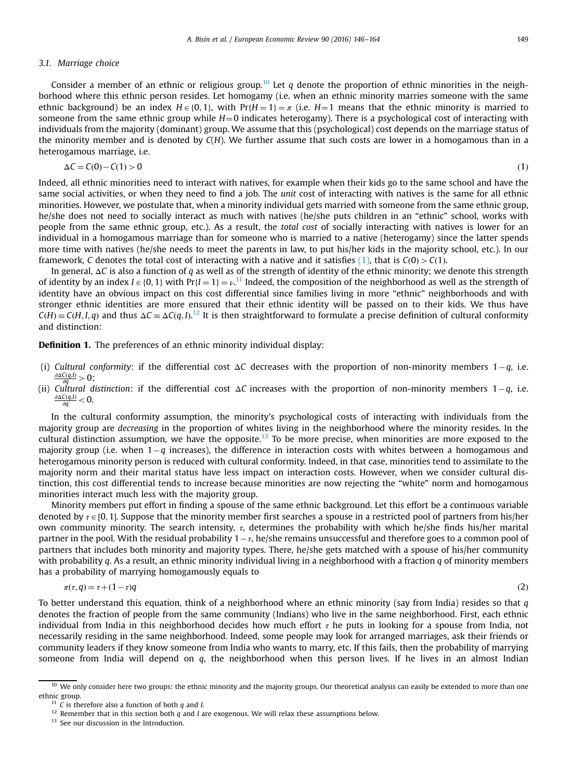## <span id="page-3-0"></span>3.1. Marriage choice

Consider a member of an ethnic or religious group.<sup>10</sup> Let q denote the proportion of ethnic minorities in the neighborhood where this ethnic person resides. Let homogamy (i.e. when an ethnic minority marries someone with the same ethnic background) be an index  $H \in \{0, 1\}$ , with Pr $\{H = 1\} = \pi$  (i.e.  $H = 1$  means that the ethnic minority is married to someone from the same ethnic group while  $H=0$  indicates heterogamy). There is a psychological cost of interacting with individuals from the majority (dominant) group. We assume that this (psychological) cost depends on the marriage status of the minority member and is denoted by  $C(H)$ . We further assume that such costs are lower in a homogamous than in a heterogamous marriage, i.e.

$$
\Delta C = C(0) - C(1) > 0 \tag{1}
$$

Indeed, all ethnic minorities need to interact with natives, for example when their kids go to the same school and have the same social activities, or when they need to find a job. The unit cost of interacting with natives is the same for all ethnic minorities. However, we postulate that, when a minority individual gets married with someone from the same ethnic group, he/she does not need to socially interact as much with natives (he/she puts children in an "ethnic" school, works with people from the same ethnic group, etc.). As a result, the total cost of socially interacting with natives is lower for an individual in a homogamous marriage than for someone who is married to a native (heterogamy) since the latter spends more time with natives (he/she needs to meet the parents in law, to put his/her kids in the majority school, etc.). In our framework, C denotes the total cost of interacting with a native and it satisfies (1), that is  $C(0) > C(1)$ .

In general,  $ΔC$  is also a function of q as well as of the strength of identity of the ethnic minority; we denote this strength of identity by an index  $I \in \{0, 1\}$  with  $Pr\{I = 1\} = \nu$ .<sup>11</sup> Indeed, the composition of the neighborhood as well as the strength of identity have an obvious impact on this cost differential since families living in more identity have an obvious impact on this cost differential since families living in more "ethnic" neighborhoods and with stronger ethnic identities are more ensured that their ethnic identity will be passed on to their kids. We thus have  $C(H) \equiv C(H, I, q)$  and thus  $\Delta C \equiv \Delta C(q, I).^{12}$  It is then straightforward to formulate a precise definition of cultural conformity and distinction:

**Definition 1.** The preferences of an ethnic minority individual display:

- (i) Cultural conformity: if the differential cost  $\Delta C$  decreases with the proportion of non-minority members  $1-q$ , i.e.<br>  $\partial \Delta C(q,t) \searrow \Omega$  $\frac{\partial \Delta C(q,I)}{\partial q}$  > 0;
- (ii) Cultural distinction: if the differential cost  $\Delta C$  increases with the proportion of non-minority members 1–q, i.e.<br>  $\partial \Delta C(q,l) > 0$  $\frac{\partial \Delta C(q,I)}{\partial q}$  < 0.

In the cultural conformity assumption, the minority's psychological costs of interacting with individuals from the majority group are decreasing in the proportion of whites living in the neighborhood where the minority resides. In the cultural distinction assumption, we have the opposite.<sup>13</sup> To be more precise, when minorities are more exposed to the majority group (i.e. when 1–q increases), the difference in interaction costs with whites between a homogamous and<br>heterogamous minority person is reduced with cultural conformity Indeed in that case minorities tend to ass heterogamous minority person is reduced with cultural conformity. Indeed, in that case, minorities tend to assimilate to the majority norm and their marital status have less impact on interaction costs. However, when we consider cultural distinction, this cost differential tends to increase because minorities are now rejecting the "white" norm and homogamous minorities interact much less with the majority group.

Minority members put effort in finding a spouse of the same ethnic background. Let this effort be a continuous variable denoted by  $\tau \in [0, 1]$ . Suppose that the minority member first searches a spouse in a restricted pool of partners from his/her own community minority. The search intensity,  $\tau$ , determines the probability with which he/she finds his/her marital partner in the pool. With the residual probability  $1-\tau$ , he/she remains unsuccessful and therefore goes to a common pool of<br>partners that includes both minority and majority types. There, he/she gets matched with a spous partners that includes both minority and majority types. There, he/she gets matched with a spouse of his/her community with probability q. As a result, an ethnic minority individual living in a neighborhood with a fraction q of minority members has a probability of marrying homogamously equals to

$$
\pi(\tau, q) = \tau + (1 - \tau)q \tag{2}
$$

To better understand this equation, think of a neighborhood where an ethnic minority (say from India) resides so that  $q$ denotes the fraction of people from the same community (Indians) who live in the same neighborhood. First, each ethnic individual from India in this neighborhood decides how much effort  $\tau$  he puts in looking for a spouse from India, not necessarily residing in the same neighborhood. Indeed, some people may look for arranged marriages, ask their friends or community leaders if they know someone from India who wants to marry, etc. If this fails, then the probability of marrying someone from India will depend on q, the neighborhood when this person lives. If he lives in an almost Indian

<sup>&</sup>lt;sup>10</sup> We only consider here two groups: the ethnic minority and the majority groups. Our theoretical analysis can easily be extended to more than one ethnic group.

<sup>&</sup>lt;sup>11</sup> C is therefore also a function of both  $q$  and  $I$ .

<sup>&</sup>lt;sup>12</sup> Remember that in this section both  $q$  and *I* are exogenous. We will relax these assumptions below.

<sup>&</sup>lt;sup>13</sup> See our discussion in the Introduction.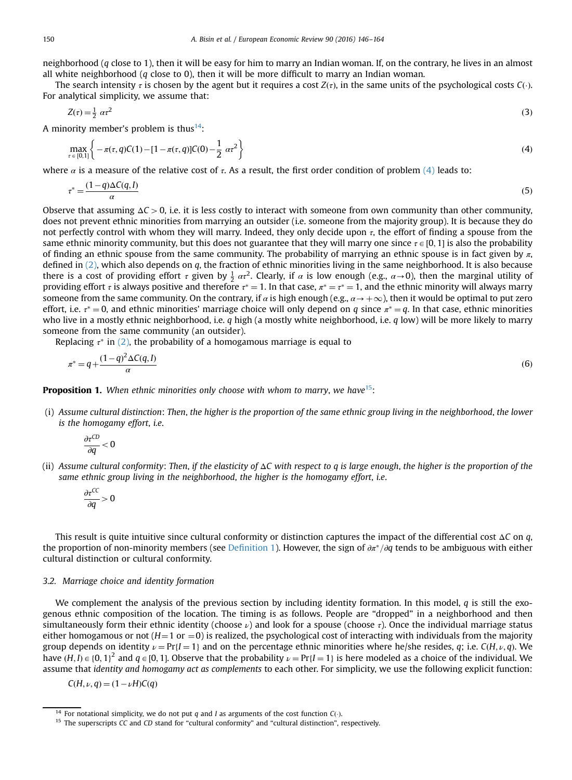<span id="page-4-0"></span>neighborhood (q close to 1), then it will be easy for him to marry an Indian woman. If, on the contrary, he lives in an almost all white neighborhood ( $q$  close to 0), then it will be more difficult to marry an Indian woman.

The search intensity  $\tau$  is chosen by the agent but it requires a cost  $Z(\tau)$ , in the same units of the psychological costs  $C(\cdot)$ . For analytical simplicity, we assume that:

$$
Z(\tau) = \frac{1}{2} \alpha \tau^2 \tag{3}
$$

A minority member's problem is thus $^{14}$ :

$$
\max_{\tau \in [0,1]} \left\{ -\pi(\tau,q)C(1) - [1 - \pi(\tau,q)]C(0) - \frac{1}{2} \alpha \tau^2 \right\}
$$
\n(4)

where  $\alpha$  is a measure of the relative cost of  $\tau$ . As a result, the first order condition of problem (4) leads to:

$$
\tau^* = \frac{(1-q)\Delta C(q, I)}{\alpha} \tag{5}
$$

Observe that assuming  $\Delta C > 0$ , i.e. it is less costly to interact with someone from own community than other community, does not prevent ethnic minorities from marrying an outsider (i.e. someone from the majority group). It is because they do not perfectly control with whom they will marry. Indeed, they only decide upon  $\tau$ , the effort of finding a spouse from the same ethnic minority community, but this does not guarantee that they will marry one since  $\tau \in [0,1]$  is also the probability of finding an ethnic spouse from the same community. The probability of marrying an ethnic spouse is in fact given by  $\pi$ , defined in  $(2)$ , which also depends on q, the fraction of ethnic minorities living in the same neighborhood. It is also because there is a cost of providing effort  $\tau$  given by  $\frac{1}{2}$   $\alpha\tau^2$ . Clearly, if  $\alpha$  is low enough (e.g.,  $\alpha\to 0$ ), then the marginal utility of providing effort  $\tau$  is always positive and therefore  $\tau^* = 1$ . In that case,  $\pi^* = \tau^* = 1$ , and the ethnic minority will always marry someone from the same community. On the contrary, if  $\alpha$  is high enough (e.g.,  $\alpha \to +\infty$ ), then it would be optimal to put zero effort, i.e.  $\tau^* = 0$ , and ethnic minorities' marriage choice will only depend on q since  $\pi^* = q$ . In that case, ethnic minorities who live in a mostly ethnic neighborhood, i.e. q high (a mostly white neighborhood, i.e. q low) will be more likely to marry someone from the same community (an outsider).

Replacing  $\tau^*$  in [\(2\),](#page-3-0) the probability of a homogamous marriage is equal to

$$
\pi^* = q + \frac{(1-q)^2 \Delta C(q, l)}{\alpha} \tag{6}
$$

**Proposition 1.** When ethnic minorities only choose with whom to marry, we have<sup>15</sup>:

(i) Assume cultural distinction: Then, the higher is the proportion of the same ethnic group living in the neighborhood, the lower is the homogamy effort, i.e.

$$
\frac{\partial \tau^{CD}}{\partial q}<0
$$

(ii) Assume cultural conformity: Then, if the elasticity of  $\Delta C$  with respect to q is large enough, the higher is the proportion of the same ethnic group living in the neighborhood, the higher is the homogamy effort, i.e.

$$
\frac{\partial \tau^{CC}}{\partial q} > 0
$$

This result is quite intuitive since cultural conformity or distinction captures the impact of the differential cost  $\Delta C$  on q, the proportion of non-minority members (see Defi[nition 1](#page-3-0)). However, the sign of  $\partial \pi^* / \partial q$  tends to be ambiguous with either cultural distinction or cultural conformity.

#### 3.2. Marriage choice and identity formation

We complement the analysis of the previous section by including identity formation. In this model,  $q$  is still the exogenous ethnic composition of the location. The timing is as follows. People are "dropped" in a neighborhood and then simultaneously form their ethnic identity (choose  $\nu$ ) and look for a spouse (choose  $\tau$ ). Once the individual marriage status either homogamous or not  $(H=1 \text{ or } =0)$  is realized, the psychological cost of interacting with individuals from the majority group depends on identity  $\nu = Pr{I = 1}$  and on the percentage ethnic minorities where he/she resides, q; i.e.  $C(H, \nu, q)$ . We have  $(H, I) \in \{0, 1\}^2$  and  $q \in [0, 1]$ . Observe that the probability  $\nu = Pr\{I = 1\}$  is here modeled as a choice of the individual. We assume that identity and homogamy act as complements to each other. For simplicity, we use the following explicit function:

 $C(H, \nu, q) = (1 - \nu H)C(q)$ 

<sup>&</sup>lt;sup>14</sup> For notational simplicity, we do not put q and I as arguments of the cost function  $C(\cdot)$ .<br><sup>15</sup> The superscripts CC and CD stand for "cultural conformity" and "cultural distinction", respectively.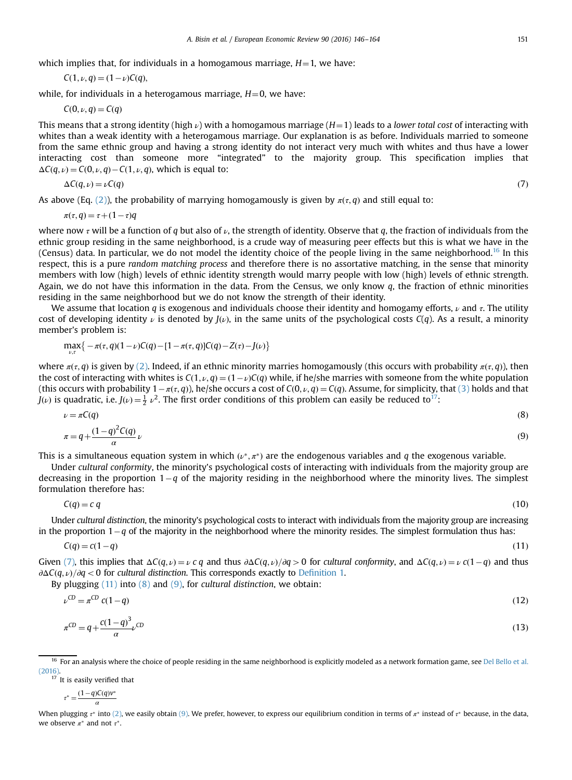<span id="page-5-0"></span>which implies that, for individuals in a homogamous marriage,  $H=1$ , we have:

$$
C(1,\nu,q) = (1-\nu)C(q),
$$

while, for individuals in a heterogamous marriage,  $H=0$ , we have:

$$
C(0,\nu,q)=C(q)
$$

This means that a strong identity (high  $\nu$ ) with a homogamous marriage (H=1) leads to a lower total cost of interacting with whites than a weak identity with a heterogamous marriage. Our explanation is as before. Individuals married to someone from the same ethnic group and having a strong identity do not interact very much with whites and thus have a lower interacting cost than someone more "integrated" to the majority group. This specification implies that  $\Delta C(q,\nu) = C(0,\nu,q) - C(1,\nu,q)$ , which is equal to:

$$
\Delta C(q,\nu) = \nu C(q) \tag{7}
$$

As above (Eq. [\(2\)\)](#page-3-0), the probability of marrying homogamously is given by  $\pi(\tau, q)$  and still equal to:

$$
\pi(\tau, q) = \tau + (1 - \tau)q
$$

where now  $\tau$  will be a function of q but also of  $\nu$ , the strength of identity. Observe that q, the fraction of individuals from the ethnic group residing in the same neighborhood, is a crude way of measuring peer effects but this is what we have in the (Census) data. In particular, we do not model the identity choice of the people living in the same neighborhood.<sup>16</sup> In this respect, this is a pure random matching process and therefore there is no assortative matching, in the sense that minority members with low (high) levels of ethnic identity strength would marry people with low (high) levels of ethnic strength. Again, we do not have this information in the data. From the Census, we only know q, the fraction of ethnic minorities residing in the same neighborhood but we do not know the strength of their identity.

We assume that location q is exogenous and individuals choose their identity and homogamy efforts,  $\nu$  and  $\tau$ . The utility cost of developing identity  $\nu$  is denoted by  $J(\nu)$ , in the same units of the psychological costs C(q). As a result, a minority member's problem is:

$$
\max_{\nu,\tau} \left\{-\pi(\tau,q)(1-\nu)C(q) - [1-\pi(\tau,q)]C(q) - Z(\tau) - J(\nu)\right\}
$$

where  $\pi(\tau, q)$  is given by [\(2\).](#page-3-0) Indeed, if an ethnic minority marries homogamously (this occurs with probability  $\pi(\tau, q)$ ), then the cost of interacting with whites is  $C(1, \nu, q) = (1 - \nu)C(q)$  while, if he/she marries with someone from the white population<br>(this occurs with probability 1,  $\pi(x, q)$ ) he/she occurs a cost of  $C(0, \nu, q) = C(q)$ . Assume for s (this occurs with probability  $1 - \pi(\tau, q)$ ), he/she occurs a cost of  $C(0, \nu, q) = C(q)$ . Assume, for simplicity, that [\(3\)](#page-4-0) holds and that  $U(\nu)$  is quadratic i.e.  $U(\nu) = \frac{1}{\nu^2}$ . The first order conditions of this problem c  $J(\nu)$  is quadratic, i.e.  $J(\nu) = \frac{1}{2} \nu^2$ . The first order conditions of this problem can easily be reduced to<sup>17</sup>:

$$
\nu = \pi C(q)
$$
\n
$$
\pi = q + \frac{(1-q)^2 C(q)}{\alpha} \nu
$$
\n(8)

This is a simultaneous equation system in which  $(\nu^*, \pi^*)$  are the endogenous variables and q the exogenous variable.

Under cultural conformity, the minority's psychological costs of interacting with individuals from the majority group are decreasing in the proportion 1–q of the majority residing in the neighborhood where the minority lives. The simplest<br>formulation therefore has: formulation therefore has:

$$
C(q) = c q \tag{10}
$$

Under cultural distinction, the minority's psychological costs to interact with individuals from the majority group are increasing in the proportion  $1-q$  of the majority in the neighborhood where the minority resides. The simplest formulation thus has:

$$
C(q) = c(1-q) \tag{11}
$$

Given (7), this implies that  $\Delta C(q, \nu) = \nu c q$  and thus  $\partial \Delta C(q, \nu)/\partial q > 0$  for cultural conformity, and  $\Delta C(q, \nu) = \nu c(1-q)$  and thus  $\partial \Delta C(q, \nu)/\partial q > 0$  for cultural distinction. This corresponds exactly to Definition 1.  $\partial \Delta C(q, \nu)/\partial q$  < 0 for cultural distinction. This corresponds exactly to Defi[nition 1.](#page-3-0)

By plugging  $(11)$  into  $(8)$  and  $(9)$ , for cultural distinction, we obtain:

$$
\nu^{\rm CD} = \pi^{\rm CD} \, c(1-q) \tag{12}
$$

$$
\pi^{CD} = q + \frac{c(1-q)^3}{\alpha} \nu^{CD} \tag{13}
$$

 $17$  It is easily verified that

$$
\tau^* = \frac{(1-q)C(q)v^*}{\alpha}
$$

When plugging  $\tau^*$  into [\(2\),](#page-3-0) we easily obtain (9). We prefer, however, to express our equilibrium condition in terms of  $\pi^*$  instead of  $\tau^*$  because, in the data, we observe  $\pi^*$  and not  $\tau^*$ .

<sup>&</sup>lt;sup>16</sup> For an analysis where the choice of people residing in the same neighborhood is explicitly modeled as a network formation game, see [Del Bello et al.](#page-17-0) [\(2016\)](#page-17-0).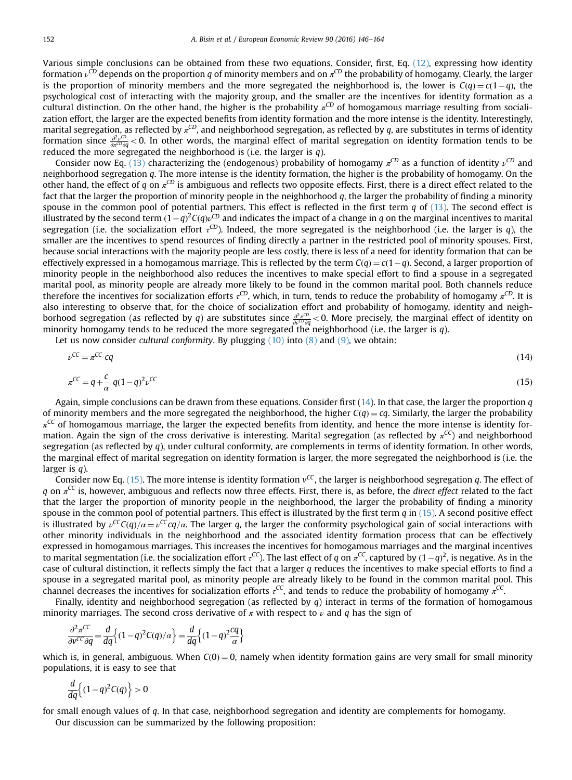Various simple conclusions can be obtained from these two equations. Consider, first, Eq. [\(12\)](#page-5-0), expressing how identity formation  $\nu^{CD}$  depends on the proportion q of minority members and on  $\pi^{CD}$  the probability of homogamy. Clearly, the larger is the proportion of minority members and the more segregated the neighborhood is, the lower is  $C(q) = c(1-q)$ , the<br>psychological cost of interacting with the majority group, and the smaller are the incentives for identity f psychological cost of interacting with the majority group, and the smaller are the incentives for identity formation as a cultural distinction. On the other hand, the higher is the probability  $\pi^{CD}$  of homogamous marriage resulting from socialization effort, the larger are the expected benefits from identity formation and the more intense is the identity. Interestingly, marital segregation, as reflected by  $\pi^{CD}$ , and neighborhood segregation, as reflected by q, are substitutes in terms of identity formation since  $\frac{\partial^2 v^{\omega}}{\partial a^{\omega} \partial q}$  < 0. In other words, the marginal effect of marital segregation on identity formation tends to be reduced the more segregated the neighborhood is (i.e. the larger is q).

Consider now Eq. [\(13\)](#page-5-0) characterizing the (endogenous) probability of homogamy  $\pi^{CD}$  as a function of identity  $\nu^{CD}$  and neighborhood segregation q. The more intense is the identity formation, the higher is the probability of homogamy. On the other hand, the effect of q on  $\pi^{CD}$  is ambiguous and reflects two opposite effects. First, there is a direct effect related to the fact that the larger the proportion of minority people in the neighborhood  $q$ , the larger the probability of finding a minority spouse in the common pool of potential partners. This effect is reflected in the first term  $q$  of [\(13\)](#page-5-0). The second effect is illustrated by the second term (1–q)<sup>2</sup>C(q) $\nu^{CD}$  and indicates the impact of a change in q on the marginal incentives to marital<br>segregation (i.e. the socialization effort  $\tau^{CD}$ ). Indeed, the more segregated is the ne illustrated by the second term  $(1-q)^2C(q)\nu^{CD}$  and indicates the impact of a change in q on the marginal incentives to marital smaller are the incentives to spend resources of finding directly a partner in the restricted pool of minority spouses. First, because social interactions with the majority people are less costly, there is less of a need for identity formation that can be effectively expressed in a homogamous marriage. This is reflected by the term  $C(q) = c(1-q)$ . Second, a larger proportion of  $\frac{1}{2}$  comparing the incontract to make special effort to find a spouse in a segregated minority people in the neighborhood also reduces the incentives to make special effort to find a spouse in a segregated marital pool, as minority people are already more likely to be found in the common marital pool. Both channels reduce therefore the incentives for socialization efforts  $\tau^{CD}$ , which, in turn, tends to reduce the probability of homogamy  $\pi^{CD}$ . It is also interesting to observe that, for the choice of socialization effort and probability of homogamy, identity and neighborhood segregation (as reflected by q) are substitutes since  $\frac{\partial^2 \pi^{CD}}{\partial \omega^D \partial q}$  < 0. More precisely, the marginal effect of identity on minority homogamy tends to be reduced the more segregated the neighborhood (i.e. the larger is q).

Let us now consider *cultural conformity*. By plugging  $(10)$  into  $(8)$  and  $(9)$ , we obtain:

$$
\nu^{\rm CC} = \pi^{\rm CC} \, c q \tag{14}
$$

$$
\pi^{\rm CC} = q + \frac{c}{\alpha} q(1-q)^2 \nu^{\rm CC} \tag{15}
$$

Again, simple conclusions can be drawn from these equations. Consider first  $(14)$ . In that case, the larger the proportion q of minority members and the more segregated the neighborhood, the higher  $C(q) = cq$ . Similarly, the larger the probability  $\pi^{\rm CC}$  of homogamous marriage, the larger the expected benefits from identity, and hence the more intense is identity formation. Again the sign of the cross derivative is interesting. Marital segregation (as reflected by  $\pi^{CC}$ ) and neighborhood segregation (as reflected by  $q$ ), under cultural conformity, are complements in terms of identity formation. In other words, the marginal effect of marital segregation on identity formation is larger, the more segregated the neighborhood is (i.e. the larger is q).

Consider now Eq. (15). The more intense is identity formation  $v^{CC}$ , the larger is neighborhood segregation q. The effect of q on  $\pi$ <sup>CC</sup> is, however, ambiguous and reflects now three effects. First, there is, as before, the direct effect related to the fact that the larger the proportion of minority people in the neighborhood, the larger the probability of finding a minority spouse in the common pool of potential partners. This effect is illustrated by the first term  $q$  in (15). A second positive effect is illustrated by  $v^{CC}(q)/\alpha = v^{CC}(q/\alpha)$ . The larger q, the larger the conformity psychological gain of social interactions with other minority individuals in the neighborhood and the associated identity formation process that can be effectively expressed in homogamous marriages. This increases the incentives for homogamous marriages and the marginal incentives to marital segmentation (i.e. the socialization effort  $\tau^{CC}$ ). The last effect of q on  $\pi^{CC}$ , captured by  $(1-q)^2$ , is negative. As in the case of cultural distinction, it reflects simply the fact that a larger q reduc case of cultural distinction, it reflects simply the fact that a larger q reduces the incentives to make special efforts to find a spouse in a segregated marital pool, as minority people are already likely to be found in the common marital pool. This channel decreases the incentives for socialization efforts  $\tau^{CC}$ , and tends to reduce the probability of homogamy  $\pi^{CC}$ .

Finally, identity and neighborhood segregation (as reflected by  $q$ ) interact in terms of the formation of homogamous minority marriages. The second cross derivative of  $\pi$  with respect to  $\nu$  and q has the sign of

$$
\frac{\partial^2 \pi^{CC}}{\partial v^{CC} \partial q} = \frac{d}{dq} \Big\{ (1 - q)^2 C(q) / \alpha \Big\} = \frac{d}{dq} \Big\{ (1 - q)^2 \frac{cq}{\alpha} \Big\}
$$

which is, in general, ambiguous. When  $C(0) = 0$ , namely when identity formation gains are very small for small minority populations, it is easy to see that

$$
\frac{d}{dq}\Big\{(1-q)^2C(q)\Big\}>0
$$

for small enough values of q. In that case, neighborhood segregation and identity are complements for homogamy. Our discussion can be summarized by the following proposition: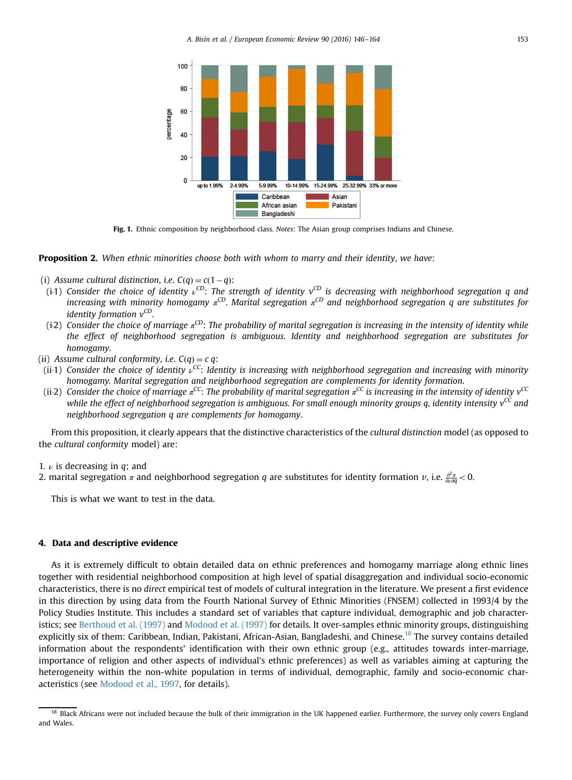<span id="page-7-0"></span>

Fig. 1. Ethnic composition by neighborhood class. Notes: The Asian group comprises Indians and Chinese.

Proposition 2. When ethnic minorities choose both with whom to marry and their identity, we have:

(i) Assume cultural distinction, i.e.  $C(q) = c(1-q)$ <br>(i.1) Consider the choice of identity  $C^D$ . The (i) Assume cultural distinction, i.e.  $C(q) = c(1-q)$ :

- (i-1) Consider the choice of identity  $\nu^{\rm CD}$ : The strength of identity  $\nu^{\rm CD}$  is decreasing with neighborhood segregation q and increasing with minority homogamy  $\pi^{\rm CD}$  Marital segregation  $\pi^{\rm CD}$  and neighborh increasing with minority homogamy  $\pi^{CD}$ . Marital segregation  $\pi^{CD}$  and neighborhood segregation q are substitutes for identity formation  $v^{CD}$ .
- (i.2) Consider the choice of marriage  $\pi^{\rm C}$ : The probability of marital segregation is increasing in the intensity of identity while the effect of neighborhood segregation is ambiguous. Identity and neighborhood segregation are substitutes for homogamy.
- (ii) Assume cultural conformity, i.e.  $C(q) = c q$ :
- (ii.1) Consider the choice of identity  $v^{CC}$ : Identity is increasing with neighborhood segregation and increasing with minority homogamy. Marital segregation and neighborhood segregation are complements for identity formation.
- (ii.2) Consider the choice of marriage  $\pi^{CC}$ : The probability of marital segregation  $\pi^{CC}$  is increasing in the intensity of identity  $V^{CC}$ while the effect of neighborhood segregation is ambiguous. For small enough minority groups q, identity intensity v $^{CC}$  and neighborhood segregation q are complements for homogamy.

From this proposition, it clearly appears that the distinctive characteristics of the cultural distinction model (as opposed to the cultural conformity model) are:

1.  $\nu$  is decreasing in q; and

2. marital segregation  $\pi$  and neighborhood segregation  $q$  are substitutes for identity formation  $v$ , i.e.  $\frac{\partial^2 \pi}{\partial v \partial q}$ < 0.

This is what we want to test in the data.

## 4. Data and descriptive evidence

As it is extremely difficult to obtain detailed data on ethnic preferences and homogamy marriage along ethnic lines together with residential neighborhood composition at high level of spatial disaggregation and individual socio-economic characteristics, there is no direct empirical test of models of cultural integration in the literature. We present a first evidence in this direction by using data from the Fourth National Survey of Ethnic Minorities (FNSEM) collected in 1993/4 by the Policy Studies Institute. This includes a standard set of variables that capture individual, demographic and job characteristics; see [Berthoud et al. \(1997\)](#page-17-0) and [Modood et al. \(1997\)](#page-18-0) for details. It over-samples ethnic minority groups, distinguishing explicitly six of them: Caribbean, Indian, Pakistani, African-Asian, Bangladeshi, and Chinese.18 The survey contains detailed information about the respondents' identification with their own ethnic group (e.g., attitudes towards inter-marriage, importance of religion and other aspects of individual's ethnic preferences) as well as variables aiming at capturing the heterogeneity within the non-white population in terms of individual, demographic, family and socio-economic characteristics (see [Modood et al., 1997,](#page-18-0) for details).

<sup>&</sup>lt;sup>18</sup> Black Africans were not included because the bulk of their immigration in the UK happened earlier. Furthermore, the survey only covers England and Wales.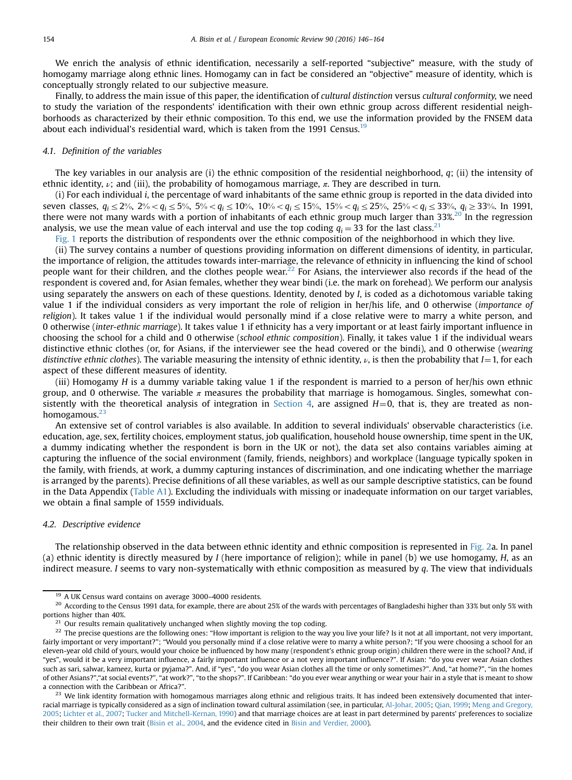We enrich the analysis of ethnic identification, necessarily a self-reported "subjective" measure, with the study of homogamy marriage along ethnic lines. Homogamy can in fact be considered an "objective" measure of identity, which is conceptually strongly related to our subjective measure.

Finally, to address the main issue of this paper, the identification of cultural distinction versus cultural conformity, we need to study the variation of the respondents' identification with their own ethnic group across different residential neighborhoods as characterized by their ethnic composition. To this end, we use the information provided by the FNSEM data about each individual's residential ward, which is taken from the 1991 Census.<sup>19</sup>

## 4.1. Definition of the variables

The key variables in our analysis are (i) the ethnic composition of the residential neighborhood,  $q$ ; (ii) the intensity of ethnic identity,  $\nu$ ; and (iii), the probability of homogamous marriage,  $\pi$ . They are described in turn.

(i) For each individual i, the percentage of ward inhabitants of the same ethnic group is reported in the data divided into seven classes,  $q_i \leq 2\%$ ,  $2\% < q_i \leq 5\%$ ,  $5\% < q_i \leq 10\%$ ,  $10\% < q_i \leq 15\%$ ,  $15\% < q_i \leq 25\%$ ,  $25\% < q_i \leq 33\%$ ,  $q_i \geq 33\%$ . In 1991, there were not many wards with a portion of inhabitants of each ethnic group much larger than  $33\frac{20}{1}$  In the regression analysis, we use the mean value of each interval and use the top coding  $q_i = 33$  for the last class.<sup>21</sup>

[Fig. 1](#page-7-0) reports the distribution of respondents over the ethnic composition of the neighborhood in which they live.

(ii) The survey contains a number of questions providing information on different dimensions of identity, in particular, the importance of religion, the attitudes towards inter-marriage, the relevance of ethnicity in influencing the kind of school people want for their children, and the clothes people wear.<sup>22</sup> For Asians, the interviewer also records if the head of the respondent is covered and, for Asian females, whether they wear bindi (i.e. the mark on forehead). We perform our analysis using separately the answers on each of these questions. Identity, denoted by I, is coded as a dichotomous variable taking value 1 if the individual considers as very important the role of religion in her/his life, and 0 otherwise (importance of religion). It takes value 1 if the individual would personally mind if a close relative were to marry a white person, and 0 otherwise (inter-ethnic marriage). It takes value 1 if ethnicity has a very important or at least fairly important influence in choosing the school for a child and 0 otherwise (school ethnic composition). Finally, it takes value 1 if the individual wears distinctive ethnic clothes (or, for Asians, if the interviewer see the head covered or the bindi), and 0 otherwise (wearing distinctive ethnic clothes). The variable measuring the intensity of ethnic identity,  $\nu$ , is then the probability that  $I=1$ , for each aspect of these different measures of identity.

(iii) Homogamy H is a dummy variable taking value 1 if the respondent is married to a person of her/his own ethnic group, and 0 otherwise. The variable  $\pi$  measures the probability that marriage is homogamous. Singles, somewhat con-sistently with the theoretical analysis of integration in [Section 4,](#page-7-0) are assigned  $H=0$ , that is, they are treated as nonhomogamous.<sup>23</sup>

An extensive set of control variables is also available. In addition to several individuals' observable characteristics (i.e. education, age, sex, fertility choices, employment status, job qualification, household house ownership, time spent in the UK, a dummy indicating whether the respondent is born in the UK or not), the data set also contains variables aiming at capturing the influence of the social environment (family, friends, neighbors) and workplace (language typically spoken in the family, with friends, at work, a dummy capturing instances of discrimination, and one indicating whether the marriage is arranged by the parents). Precise definitions of all these variables, as well as our sample descriptive statistics, can be found in the Data Appendix [\(Table A1\)](#page-16-0). Excluding the individuals with missing or inadequate information on our target variables, we obtain a final sample of 1559 individuals.

#### 4.2. Descriptive evidence

The relationship observed in the data between ethnic identity and ethnic composition is represented in [Fig. 2a](#page-9-0). In panel (a) ethnic identity is directly measured by I (here importance of religion); while in panel (b) we use homogamy,  $H$ , as an indirect measure. I seems to vary non-systematically with ethnic composition as measured by q. The view that individuals

<sup>&</sup>lt;sup>19</sup> A UK Census ward contains on average 3000-4000 residents.

 $^{20}$  According to the Census 1991 data, for example, there are about 25% of the wards with percentages of Bangladeshi higher than 33% but only 5% with portions higher than 40%.

 $21$  Our results remain qualitatively unchanged when slightly moving the top coding.

 $^{22}$  The precise questions are the following ones: "How important is religion to the way you live your life? Is it not at all important, not very important, fairly important or very important?"; "Would you personally mind if a close relative were to marry a white person?; "If you were choosing a school for an eleven-year old child of yours, would your choice be influenced by how many (respondent's ethnic group origin) children there were in the school? And, if "yes", would it be a very important influence, a fairly important influence or a not very important influence?". If Asian: "do you ever wear Asian clothes such as sari, salwar, kameez, kurta or pyjama?". And, if "yes", "do you wear Asian clothes all the time or only sometimes?". And, "at home?", "in the homes of other Asians?","at social events?", "at work?", "to the shops?". If Caribbean: "do you ever wear anything or wear your hair in a style that is meant to show a connection with the Caribbean or Africa?".

 $23$  We link identity formation with homogamous marriages along ethnic and religious traits. It has indeed been extensively documented that inter-racial marriage is typically considered as a sign of inclination toward cultural assimilation (see, in particular, [Al-Johar, 2005](#page-17-0); [Qian, 1999;](#page-18-0) [Meng and Gregory,](#page-17-0) [2005](#page-17-0); [Lichter et al., 2007](#page-17-0); [Tucker and Mitchell-Kernan, 1990\)](#page-18-0) and that marriage choices are at least in part determined by parents' preferences to socialize their children to their own trait ([Bisin et al., 2004,](#page-17-0) and the evidence cited in [Bisin and Verdier, 2000](#page-17-0)).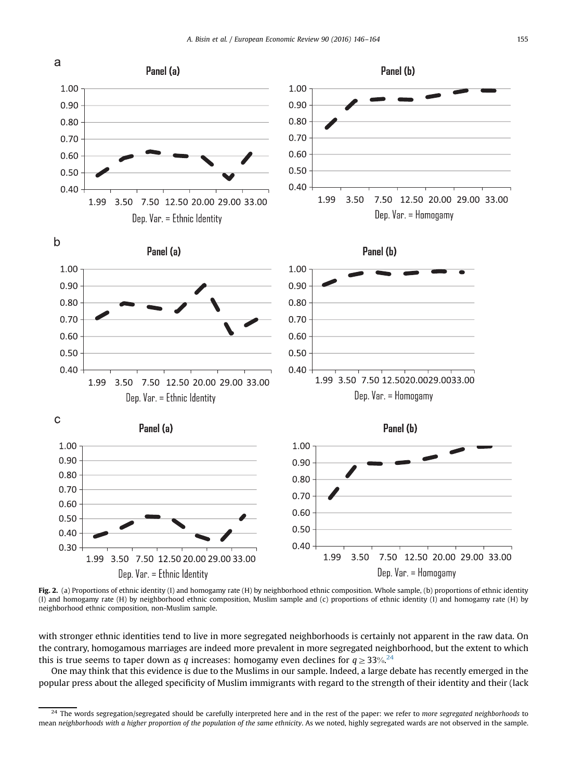<span id="page-9-0"></span>

Fig. 2. (a) Proportions of ethnic identity (I) and homogamy rate (H) by neighborhood ethnic composition. Whole sample, (b) proportions of ethnic identity (I) and homogamy rate (H) by neighborhood ethnic composition, Muslim sample and (c) proportions of ethnic identity (I) and homogamy rate (H) by neighborhood ethnic composition, non-Muslim sample.

with stronger ethnic identities tend to live in more segregated neighborhoods is certainly not apparent in the raw data. On the contrary, homogamous marriages are indeed more prevalent in more segregated neighborhood, but the extent to which this is true seems to taper down as  $q$  increases: homogamy even declines for  $q\geq$  33%.  $^{24}$ 

One may think that this evidence is due to the Muslims in our sample. Indeed, a large debate has recently emerged in the popular press about the alleged specificity of Muslim immigrants with regard to the strength of their identity and their (lack

<sup>&</sup>lt;sup>24</sup> The words segregation/segregated should be carefully interpreted here and in the rest of the paper: we refer to more segregated neighborhoods to mean neighborhoods with a higher proportion of the population of the same ethnicity. As we noted, highly segregated wards are not observed in the sample.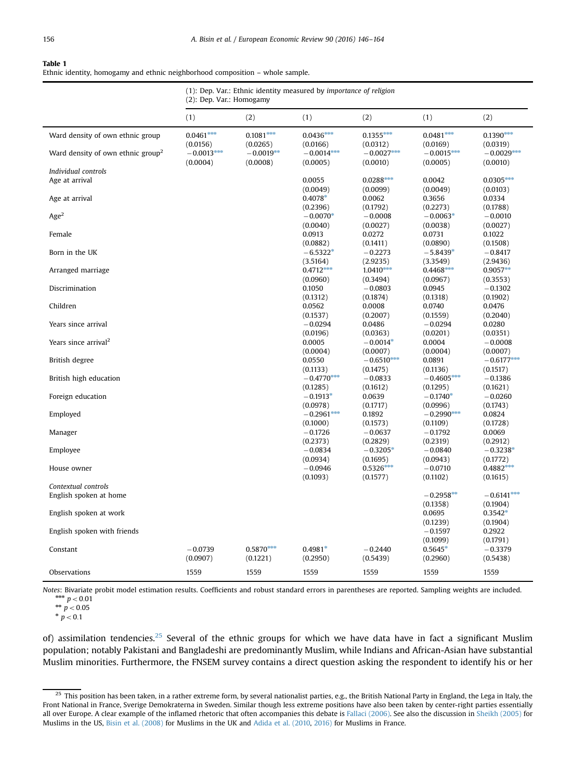#### <span id="page-10-0"></span>Table 1

Ethnic identity, homogamy and ethnic neighborhood composition – whole sample.

|                                               | (1): Dep. Var.: Ethnic identity measured by importance of religion<br>(2): Dep. Var.: Homogamy |                         |                          |                          |                          |                          |
|-----------------------------------------------|------------------------------------------------------------------------------------------------|-------------------------|--------------------------|--------------------------|--------------------------|--------------------------|
|                                               | (1)                                                                                            | (2)                     | (1)                      | (2)                      | (1)                      | (2)                      |
| Ward density of own ethnic group              | $0.0461***$<br>(0.0156)                                                                        | $0.1081***$<br>(0.0265) | $0.0436***$<br>(0.0166)  | $0.1355***$<br>(0.0312)  | $0.0481***$<br>(0.0169)  | $0.1390***$<br>(0.0319)  |
| Ward density of own ethnic group <sup>2</sup> | $-0.0013***$<br>(0.0004)                                                                       | $-0.0019**$<br>(0.0008) | $-0.0014***$<br>(0.0005) | $-0.0027***$<br>(0.0010) | $-0.0015***$<br>(0.0005) | $-0.0029***$<br>(0.0010) |
| Individual controls                           |                                                                                                |                         |                          |                          |                          |                          |
| Age at arrival                                |                                                                                                |                         | 0.0055                   | $0.0288***$              | 0.0042                   | $0.0305***$              |
|                                               |                                                                                                |                         | (0.0049)                 | (0.0099)                 | (0.0049)                 | (0.0103)                 |
| Age at arrival                                |                                                                                                |                         | $0.4078*$                | 0.0062                   | 0.3656                   | 0.0334                   |
|                                               |                                                                                                |                         | (0.2396)                 | (0.1792)                 | (0.2273)                 | (0.1788)                 |
| Age <sup>2</sup>                              |                                                                                                |                         | $-0.0070*$               | $-0.0008$                | $-0.0063*$               | $-0.0010$                |
|                                               |                                                                                                |                         | (0.0040)                 | (0.0027)                 | (0.0038)                 | (0.0027)                 |
| Female                                        |                                                                                                |                         | 0.0913                   | 0.0272                   | 0.0731                   | 0.1022                   |
|                                               |                                                                                                |                         | (0.0882)                 | (0.1411)                 | (0.0890)                 | (0.1508)                 |
| Born in the UK                                |                                                                                                |                         | $-6.5322*$               | $-0.2273$                | $-5.8439*$               | $-0.8417$                |
|                                               |                                                                                                |                         | (3.5164)                 | (2.9235)                 | (3.3549)                 | (2.9436)                 |
| Arranged marriage                             |                                                                                                |                         | $0.4712***$              | $1.0410***$              | $0.4468***$              | $0.9057**$               |
|                                               |                                                                                                |                         | (0.0960)                 | (0.3494)                 | (0.0967)                 | (0.3553)                 |
| Discrimination                                |                                                                                                |                         | 0.1050                   | $-0.0803$                | 0.0945                   | $-0.1302$                |
|                                               |                                                                                                |                         | (0.1312)                 | (0.1874)                 | (0.1318)                 | (0.1902)                 |
| Children                                      |                                                                                                |                         | 0.0562                   | 0.0008                   | 0.0740                   | 0.0476                   |
|                                               |                                                                                                |                         | (0.1537)                 | (0.2007)                 | (0.1559)                 | (0.2040)                 |
| Years since arrival                           |                                                                                                |                         | $-0.0294$                | 0.0486                   | $-0.0294$                | 0.0280                   |
| Years since arrival <sup>2</sup>              |                                                                                                |                         | (0.0196)<br>0.0005       | (0.0363)<br>$-0.0014*$   | (0.0201)<br>0.0004       | (0.0351)<br>$-0.0008$    |
|                                               |                                                                                                |                         | (0.0004)                 | (0.0007)                 | (0.0004)                 | (0.0007)                 |
| British degree                                |                                                                                                |                         | 0.0550                   | $-0.6510***$             | 0.0891                   | $-0.6177***$             |
|                                               |                                                                                                |                         | (0.1133)                 | (0.1475)                 | (0.1136)                 | (0.1517)                 |
| British high education                        |                                                                                                |                         | $-0.4770***$             | $-0.0833$                | $-0.4605***$             | $-0.1386$                |
|                                               |                                                                                                |                         | (0.1285)                 | (0.1612)                 | (0.1295)                 | (0.1621)                 |
| Foreign education                             |                                                                                                |                         | $-0.1913*$               | 0.0639                   | $-0.1740*$               | $-0.0260$                |
|                                               |                                                                                                |                         | (0.0978)                 | (0.1717)                 | (0.0996)                 | (0.1743)                 |
| Employed                                      |                                                                                                |                         | $-0.2961***$             | 0.1892                   | $-0.2990***$             | 0.0824                   |
|                                               |                                                                                                |                         | (0.1000)                 | (0.1573)                 | (0.1109)                 | (0.1728)                 |
| Manager                                       |                                                                                                |                         | $-0.1726$                | $-0.0637$                | $-0.1792$                | 0.0069                   |
|                                               |                                                                                                |                         | (0.2373)                 | (0.2829)                 | (0.2319)                 | (0.2912)                 |
| Employee                                      |                                                                                                |                         | $-0.0834$                | $-0.3205*$               | $-0.0840$                | $-0.3238*$               |
|                                               |                                                                                                |                         | (0.0934)                 | (0.1695)                 | (0.0943)                 | (0.1772)                 |
| House owner                                   |                                                                                                |                         | $-0.0946$                | $0.5326***$              | $-0.0710$                | $0.4882***$              |
|                                               |                                                                                                |                         | (0.1093)                 | (0.1577)                 | (0.1102)                 | (0.1615)                 |
| Contextual controls                           |                                                                                                |                         |                          |                          |                          |                          |
| English spoken at home                        |                                                                                                |                         |                          |                          | $-0.2958***$             | $-0.6141***$             |
|                                               |                                                                                                |                         |                          |                          | (0.1358)                 | (0.1904)                 |
| English spoken at work                        |                                                                                                |                         |                          |                          | 0.0695                   | $0.3542*$                |
|                                               |                                                                                                |                         |                          |                          | (0.1239)                 | (0.1904)                 |
| English spoken with friends                   |                                                                                                |                         |                          |                          | $-0.1597$                | 0.2922                   |
|                                               |                                                                                                |                         |                          |                          | (0.1099)                 | (0.1791)                 |
| Constant                                      | $-0.0739$                                                                                      | $0.5870***$             | $0.4981*$                | $-0.2440$                | $0.5645*$                | $-0.3379$                |
|                                               | (0.0907)                                                                                       | (0.1221)                | (0.2950)                 | (0.5439)                 | (0.2960)                 | (0.5438)                 |
| Observations                                  | 1559                                                                                           | 1559                    | 1559                     | 1559                     | 1559                     | 1559                     |

Notes: Bivariate probit model estimation results. Coefficients and robust standard errors in parentheses are reported. Sampling weights are included.<br>
\*\*\*  $p < 0.01$ 

\*\*  $p$  < 0.05<br>\* p < 0.1

of) assimilation tendencies.<sup>25</sup> Several of the ethnic groups for which we have data have in fact a significant Muslim population; notably Pakistani and Bangladeshi are predominantly Muslim, while Indians and African-Asian have substantial Muslim minorities. Furthermore, the FNSEM survey contains a direct question asking the respondent to identify his or her

 $^{25}$  This position has been taken, in a rather extreme form, by several nationalist parties, e.g., the British National Party in England, the Lega in Italy, the Front National in France, Sverige Demokraterna in Sweden. Similar though less extreme positions have also been taken by center-right parties essentially all over Europe. A clear example of the inflamed rhetoric that often accompanies this debate is [Fallaci \(2006\)](#page-17-0). See also the discussion in [Sheikh \(2005\)](#page-18-0) for Muslims in the US, [Bisin et al. \(2008\)](#page-17-0) for Muslims in the UK and [Adida et al. \(2010](#page-17-0), [2016\)](#page-17-0) for Muslims in France.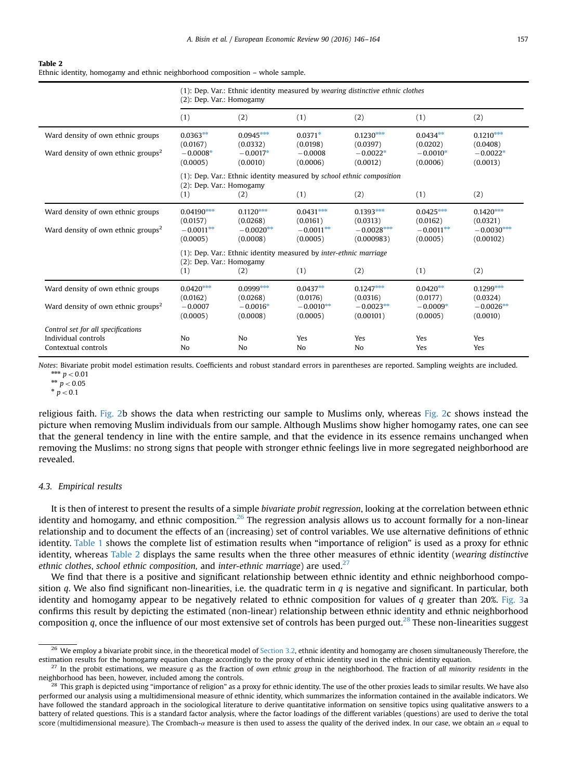| Table 2                                                                       |
|-------------------------------------------------------------------------------|
| Ethnic identity, homogamy and ethnic neighborhood composition – whole sample. |

|                                                                                     | (1): Dep. Var.: Ethnic identity measured by wearing distinctive ethnic clothes<br>(2): Dep. Var.: Homogamy                                  |                                                    |                                                    |                                                       |                                                    |                                                      |
|-------------------------------------------------------------------------------------|---------------------------------------------------------------------------------------------------------------------------------------------|----------------------------------------------------|----------------------------------------------------|-------------------------------------------------------|----------------------------------------------------|------------------------------------------------------|
|                                                                                     | (1)                                                                                                                                         | (2)                                                | (1)                                                | (2)                                                   | (1)                                                | (2)                                                  |
| Ward density of own ethnic groups<br>Ward density of own ethnic groups <sup>2</sup> | $0.0363**$<br>(0.0167)<br>$-0.0008*$<br>(0.0005)                                                                                            | $0.0945***$<br>(0.0332)<br>$-0.0017*$<br>(0.0010)  | $0.0371*$<br>(0.0198)<br>$-0.0008$<br>(0.0006)     | $0.1230***$<br>(0.0397)<br>$-0.0022*$<br>(0.0012)     | $0.0434**$<br>(0.0202)<br>$-0.0010*$<br>(0.0006)   | $0.1210***$<br>(0.0408)<br>$-0.0022*$<br>(0.0013)    |
|                                                                                     | (1): Dep. Var.: Ethnic identity measured by school ethnic composition<br>(2): Dep. Var.: Homogamy<br>(1)<br>(2)<br>(2)<br>(1)<br>(2)<br>(1) |                                                    |                                                    |                                                       |                                                    |                                                      |
| Ward density of own ethnic groups<br>Ward density of own ethnic groups <sup>2</sup> | $0.04190***$<br>(0.0157)<br>$-0.0011**$<br>(0.0005)                                                                                         | $0.1120***$<br>(0.0268)<br>$-0.0020**$<br>(0.0008) | $0.0431***$<br>(0.0161)<br>$-0.0011**$<br>(0.0005) | $0.1393***$<br>(0.0313)<br>$-0.0028***$<br>(0.000983) | $0.0425***$<br>(0.0162)<br>$-0.0011**$<br>(0.0005) | $0.1420***$<br>(0.0321)<br>$-0.0030***$<br>(0.00102) |
|                                                                                     | (1): Dep. Var.: Ethnic identity measured by inter-ethnic marriage<br>(2): Dep. Var.: Homogamy<br>(2)<br>(1)<br>(1)<br>(2)<br>(1)<br>(2)     |                                                    |                                                    |                                                       |                                                    |                                                      |
| Ward density of own ethnic groups<br>Ward density of own ethnic groups <sup>2</sup> | $0.0420***$<br>(0.0162)<br>$-0.0007$<br>(0.0005)                                                                                            | $0.0999$ ***<br>(0.0268)<br>$-0.0016*$<br>(0.0008) | $0.0437**$<br>(0.0176)<br>$-0.0010**$<br>(0.0005)  | $0.1247***$<br>(0.0316)<br>$-0.0023**$<br>(0.00101)   | $0.0420**$<br>(0.0177)<br>$-0.0009*$<br>(0.0005)   | $0.1299***$<br>(0.0324)<br>$-0.0026**$<br>(0.0010)   |
| Control set for all specifications<br>Individual controls<br>Contextual controls    | No<br>No                                                                                                                                    | No<br>N <sub>0</sub>                               | Yes<br>N <sub>0</sub>                              | Yes<br>No                                             | Yes<br>Yes                                         | Yes<br>Yes                                           |

Notes: Bivariate probit model estimation results. Coefficients and robust standard errors in parentheses are reported. Sampling weights are included. \*\*\*  $p < 0.01$ <br>\*\*  $p < 0.05$ <br>\*  $p < 0.1$ 

religious faith. [Fig. 2b](#page-9-0) shows the data when restricting our sample to Muslims only, whereas [Fig. 2](#page-9-0)c shows instead the picture when removing Muslim individuals from our sample. Although Muslims show higher homogamy rates, one can see that the general tendency in line with the entire sample, and that the evidence in its essence remains unchanged when removing the Muslims: no strong signs that people with stronger ethnic feelings live in more segregated neighborhood are revealed.

## 4.3. Empirical results

It is then of interest to present the results of a simple bivariate probit regression, looking at the correlation between ethnic identity and homogamy, and ethnic composition.<sup>26</sup> The regression analysis allows us to account formally for a non-linear relationship and to document the effects of an (increasing) set of control variables. We use alternative definitions of ethnic identity. [Table 1](#page-10-0) shows the complete list of estimation results when "importance of religion" is used as a proxy for ethnic identity, whereas Table 2 displays the same results when the three other measures of ethnic identity (wearing distinctive ethnic clothes, school ethnic composition, and inter-ethnic marriage) are used.<sup>27</sup>

We find that there is a positive and significant relationship between ethnic identity and ethnic neighborhood composition  $q$ . We also find significant non-linearities, i.e. the quadratic term in  $q$  is negative and significant. In particular, both identity and homogamy appear to be negatively related to ethnic composition for values of  $q$  greater than 20%. [Fig. 3a](#page-12-0) confirms this result by depicting the estimated (non-linear) relationship between ethnic identity and ethnic neighborhood composition q, once the influence of our most extensive set of controls has been purged out.<sup>28</sup> These non-linearities suggest

 $^{26}$  We employ a bivariate probit since, in the theoretical model of [Section 3.2,](#page-4-0) ethnic identity and homogamy are chosen simultaneously Therefore, the estimation results for the homogamy equation change accordingly to the proxy of ethnic identity used in the ethnic identity equation.

 $^{27}$  In the probit estimations, we measure q as the fraction of own ethnic group in the neighborhood. The fraction of all minority residents in the neighborhood has been, however, included among the controls.

This graph is depicted using "importance of religion" as a proxy for ethnic identity. The use of the other proxies leads to similar results. We have also performed our analysis using a multidimensional measure of ethnic identity, which summarizes the information contained in the available indicators. We have followed the standard approach in the sociological literature to derive quantitative information on sensitive topics using qualitative answers to a battery of related questions. This is a standard factor analysis, where the factor loadings of the different variables (questions) are used to derive the total score (multidimensional measure). The Crombach- $\alpha$  measure is then used to assess the quality of the derived index. In our case, we obtain an  $\alpha$  equal to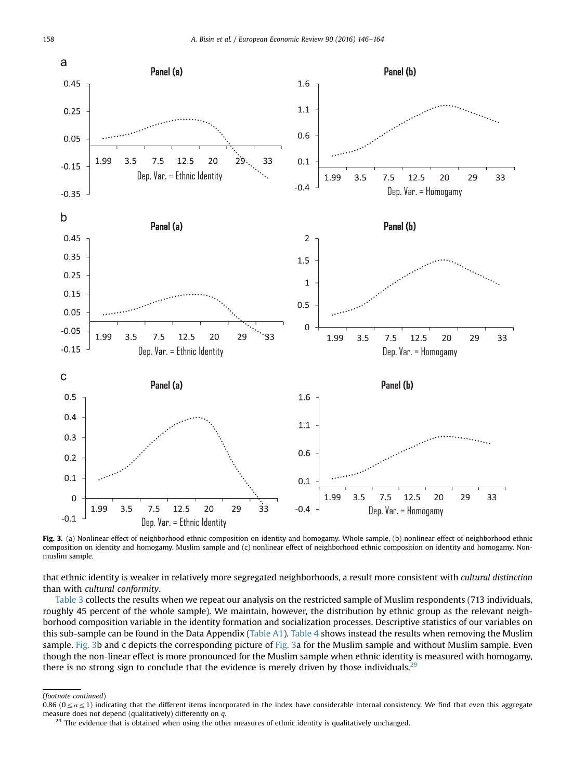<span id="page-12-0"></span>

Fig. 3. (a) Nonlinear effect of neighborhood ethnic composition on identity and homogamy. Whole sample, (b) nonlinear effect of neighborhood ethnic composition on identity and homogamy. Muslim sample and (c) nonlinear effect of neighborhood ethnic composition on identity and homogamy. Nonmuslim sample.

that ethnic identity is weaker in relatively more segregated neighborhoods, a result more consistent with cultural distinction than with cultural conformity.

[Table 3](#page-13-0) collects the results when we repeat our analysis on the restricted sample of Muslim respondents (713 individuals, roughly 45 percent of the whole sample). We maintain, however, the distribution by ethnic group as the relevant neighborhood composition variable in the identity formation and socialization processes. Descriptive statistics of our variables on this sub-sample can be found in the Data Appendix ([Table A1\)](#page-16-0). [Table 4](#page-14-0) shows instead the results when removing the Muslim sample. Fig. 3b and c depicts the corresponding picture of Fig. 3a for the Muslim sample and without Muslim sample. Even though the non-linear effect is more pronounced for the Muslim sample when ethnic identity is measured with homogamy, there is no strong sign to conclude that the evidence is merely driven by those individuals.<sup>29</sup>

(footnote continued)

<sup>0.86 (</sup> $0 \le \alpha \le 1$ ) indicating that the different items incorporated in the index have considerable internal consistency. We find that even this aggregate measure does not depend (qualitatively) differently on q.

 $29$  The evidence that is obtained when using the other measures of ethnic identity is qualitatively unchanged.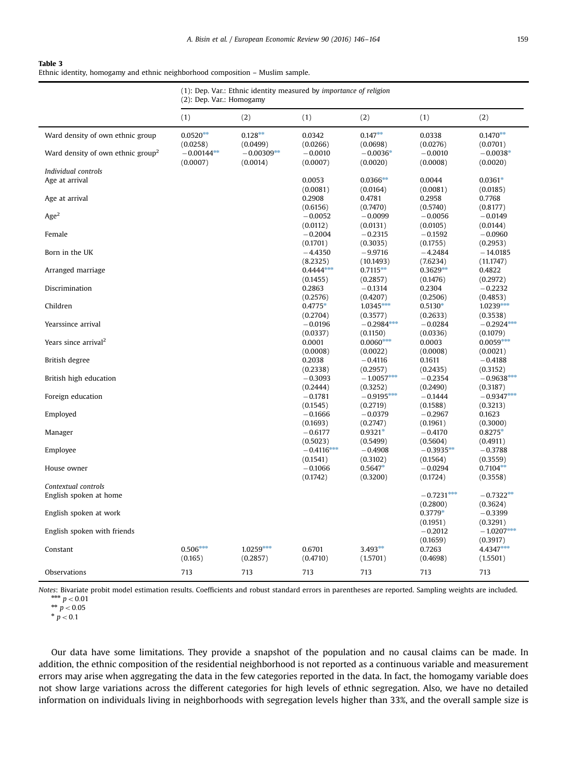## <span id="page-13-0"></span>Table 3

Ethnic identity, homogamy and ethnic neighborhood composition – Muslim sample.

|                                               | (1): Dep. Var.: Ethnic identity measured by importance of religion<br>(2): Dep. Var.: Homogamy |                          |                         |                          |                                |                                     |
|-----------------------------------------------|------------------------------------------------------------------------------------------------|--------------------------|-------------------------|--------------------------|--------------------------------|-------------------------------------|
|                                               | (1)                                                                                            | (2)                      | (1)                     | (2)                      | (1)                            | (2)                                 |
| Ward density of own ethnic group              | $0.0520**$<br>(0.0258)                                                                         | $0.128**$<br>(0.0499)    | 0.0342<br>(0.0266)      | $0.147**$<br>(0.0698)    | 0.0338<br>(0.0276)             | $0.1470***$<br>(0.0701)             |
| Ward density of own ethnic group <sup>2</sup> | $-0.00144**$<br>(0.0007)                                                                       | $-0.00309**$<br>(0.0014) | $-0.0010$<br>(0.0007)   | $-0.0036*$<br>(0.0020)   | $-0.0010$<br>(0.0008)          | $-0.0038*$<br>(0.0020)              |
| Individual controls                           |                                                                                                |                          |                         |                          |                                |                                     |
| Age at arrival                                |                                                                                                |                          | 0.0053<br>(0.0081)      | $0.0366**$<br>(0.0164)   | 0.0044<br>(0.0081)             | $0.0361*$<br>(0.0185)               |
| Age at arrival                                |                                                                                                |                          | 0.2908<br>(0.6156)      | 0.4781<br>(0.7470)       | 0.2958<br>(0.5740)             | 0.7768<br>(0.8177)                  |
| Age <sup>2</sup>                              |                                                                                                |                          | $-0.0052$               | $-0.0099$                | $-0.0056$                      | $-0.0149$                           |
| Female                                        |                                                                                                |                          | (0.0112)<br>$-0.2004$   | (0.0131)<br>$-0.2315$    | (0.0105)<br>$-0.1592$          | (0.0144)<br>$-0.0960$               |
| Born in the UK                                |                                                                                                |                          | (0.1701)<br>$-4.4350$   | (0.3035)<br>$-9.9716$    | (0.1755)<br>$-4.2484$          | (0.2953)<br>$-14.0185$              |
| Arranged marriage                             |                                                                                                |                          | (8.2325)<br>$0.4444***$ | (10.1493)<br>$0.7115**$  | (7.6234)<br>$0.3629**$         | (11.1747)<br>0.4822                 |
|                                               |                                                                                                |                          | (0.1455)                | (0.2857)                 | (0.1476)                       | (0.2972)                            |
| Discrimination                                |                                                                                                |                          | 0.2863                  | $-0.1314$                | 0.2304                         | $-0.2232$                           |
| Children                                      |                                                                                                |                          | (0.2576)<br>$0.4775*$   | (0.4207)<br>$1.0345***$  | (0.2506)<br>$0.5130*$          | (0.4853)<br>$1.0239***$             |
| Yearssince arrival                            |                                                                                                |                          | (0.2704)<br>$-0.0196$   | (0.3577)<br>$-0.2984***$ | (0.2633)<br>$-0.0284$          | (0.3538)<br>$-0.2924***$            |
|                                               |                                                                                                |                          | (0.0337)                | (0.1150)                 | (0.0336)                       | (0.1079)                            |
| Years since arrival <sup>2</sup>              |                                                                                                |                          | 0.0001                  | $0.0060***$              | 0.0003                         | $0.0059***$                         |
| British degree                                |                                                                                                |                          | (0.0008)<br>0.2038      | (0.0022)<br>$-0.4116$    | (0.0008)<br>0.1611             | (0.0021)<br>$-0.4188$               |
| British high education                        |                                                                                                |                          | (0.2338)<br>$-0.3093$   | (0.2957)<br>$-1.0057***$ | (0.2435)<br>$-0.2354$          | (0.3152)<br>$-0.9638***$            |
| Foreign education                             |                                                                                                |                          | (0.2444)<br>$-0.1781$   | (0.3252)<br>$-0.9195***$ | (0.2490)<br>$-0.1444$          | (0.3187)<br>$-0.9347***$            |
|                                               |                                                                                                |                          | (0.1545)                | (0.2719)                 | (0.1588)                       | (0.3213)                            |
| Employed                                      |                                                                                                |                          | $-0.1666$<br>(0.1693)   | $-0.0379$<br>(0.2747)    | $-0.2967$<br>(0.1961)          | 0.1623<br>(0.3000)                  |
| Manager                                       |                                                                                                |                          | $-0.6177$<br>(0.5023)   | $0.9321*$<br>(0.5499)    | $-0.4170$<br>(0.5604)          | $0.8275*$<br>(0.4911)               |
| Employee                                      |                                                                                                |                          | $-0.4116***$            | $-0.4908$                | $-0.3935**$                    | $-0.3788$                           |
| House owner                                   |                                                                                                |                          | (0.1541)<br>$-0.1066$   | (0.3102)<br>$0.5647*$    | (0.1564)<br>$-0.0294$          | (0.3559)<br>$0.7104$ **             |
| Contextual controls<br>English spoken at home |                                                                                                |                          | (0.1742)                | (0.3200)                 | (0.1724)<br>$-0.7231***$       | (0.3558)<br>$-0.7322**$             |
| English spoken at work                        |                                                                                                |                          |                         |                          | (0.2800)<br>$0.3779*$          | (0.3624)<br>$-0.3399$               |
| English spoken with friends                   |                                                                                                |                          |                         |                          | (0.1951)<br>$-0.2012$          | (0.3291)<br>$-1.0207***$            |
| Constant                                      | $0.506***$<br>(0.165)                                                                          | $1.0259***$<br>(0.2857)  | 0.6701<br>(0.4710)      | $3.493**$<br>(1.5701)    | (0.1659)<br>0.7263<br>(0.4698) | (0.3917)<br>$4.4347***$<br>(1.5501) |
| Observations                                  | 713                                                                                            | 713                      | 713                     | 713                      | 713                            | 713                                 |

Notes: Bivariate probit model estimation results. Coefficients and robust standard errors in parentheses are reported. Sampling weights are included.<br>\*\*\*  $p < 0.01$ 

Our data have some limitations. They provide a snapshot of the population and no causal claims can be made. In addition, the ethnic composition of the residential neighborhood is not reported as a continuous variable and measurement errors may arise when aggregating the data in the few categories reported in the data. In fact, the homogamy variable does not show large variations across the different categories for high levels of ethnic segregation. Also, we have no detailed information on individuals living in neighborhoods with segregation levels higher than 33%, and the overall sample size is

<sup>\*\*</sup>  $p$  < 0.05<br>\* p < 0.1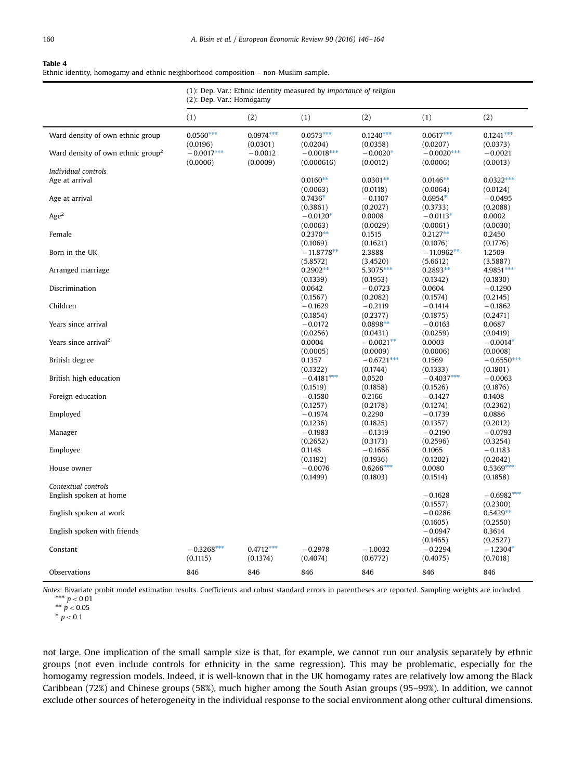#### <span id="page-14-0"></span>Table 4

Ethnic identity, homogamy and ethnic neighborhood composition – non-Muslim sample.

|                                               | (1): Dep. Var.: Ethnic identity measured by importance of religion<br>(2): Dep. Var.: Homogamy |                         |                                    |                                      |                                    |                                      |
|-----------------------------------------------|------------------------------------------------------------------------------------------------|-------------------------|------------------------------------|--------------------------------------|------------------------------------|--------------------------------------|
|                                               | (1)                                                                                            | (2)                     | (1)                                | (2)                                  | (1)                                | (2)                                  |
| Ward density of own ethnic group              | $0.0560***$<br>(0.0196)                                                                        | $0.0974***$<br>(0.0301) | $0.0573***$<br>(0.0204)            | $0.1240***$<br>(0.0358)              | $0.0617***$<br>(0.0207)            | $0.1241***$<br>(0.0373)              |
| Ward density of own ethnic group <sup>2</sup> | $-0.0017***$<br>(0.0006)                                                                       | $-0.0012$<br>(0.0009)   | $-0.0018***$<br>(0.000616)         | $-0.0020*$<br>(0.0012)               | $-0.0020***$<br>(0.0006)           | $-0.0021$<br>(0.0013)                |
| Individual controls<br>Age at arrival         |                                                                                                |                         | $0.0160**$                         | $0.0301**$                           | $0.0146**$                         | $0.0322***$                          |
| Age at arrival                                |                                                                                                |                         | (0.0063)<br>$0.7436*$              | (0.0118)<br>$-0.1107$                | (0.0064)<br>$0.6954*$              | (0.0124)<br>$-0.0495$                |
| Age <sup>2</sup>                              |                                                                                                |                         | (0.3861)<br>$-0.0120*$<br>(0.0063) | (0.2027)<br>0.0008<br>(0.0029)       | (0.3733)<br>$-0.0113*$<br>(0.0061) | (0.2088)<br>0.0002<br>(0.0030)       |
| Female                                        |                                                                                                |                         | $0.2370**$<br>(0.1069)             | 0.1515<br>(0.1621)                   | $0.2127**$<br>(0.1076)             | 0.2450<br>(0.1776)                   |
| Born in the UK                                |                                                                                                |                         | $-11.8778***$<br>(5.8572)          | 2.3888<br>(3.4520)                   | $-11.0962**$<br>(5.6612)           | 1.2509<br>(3.5887)                   |
| Arranged marriage                             |                                                                                                |                         | $0.2902**$<br>(0.1339)             | 5.3075***<br>(0.1953)                | $0.2893**$<br>(0.1342)             | 4.9851***<br>(0.1830)                |
| Discrimination                                |                                                                                                |                         | 0.0642<br>(0.1567)                 | $-0.0723$<br>(0.2082)                | 0.0604<br>(0.1574)                 | $-0.1290$<br>(0.2145)                |
| Children<br>Years since arrival               |                                                                                                |                         | $-0.1629$<br>(0.1854)<br>$-0.0172$ | $-0.2119$<br>(0.2377)<br>$0.0898**$  | $-0.1414$<br>(0.1875)<br>$-0.0163$ | $-0.1862$<br>(0.2471)<br>0.0687      |
| Years since arrival <sup>2</sup>              |                                                                                                |                         | (0.0256)<br>0.0004                 | (0.0431)<br>$-0.0021**$              | (0.0259)<br>0.0003                 | (0.0419)<br>$-0.0014*$               |
| British degree                                |                                                                                                |                         | (0.0005)<br>0.1357<br>(0.1322)     | (0.0009)<br>$-0.6721***$<br>(0.1744) | (0.0006)<br>0.1569<br>(0.1333)     | (0.0008)<br>$-0.6550***$<br>(0.1801) |
| British high education                        |                                                                                                |                         | $-0.4181***$<br>(0.1519)           | 0.0520<br>(0.1858)                   | $-0.4037***$<br>(0.1526)           | $-0.0063$<br>(0.1876)                |
| Foreign education                             |                                                                                                |                         | $-0.1580$<br>(0.1257)              | 0.2166<br>(0.2178)                   | $-0.1427$<br>(0.1274)              | 0.1408<br>(0.2362)                   |
| Employed                                      |                                                                                                |                         | $-0.1974$<br>(0.1236)              | 0.2290<br>(0.1825)                   | $-0.1739$<br>(0.1357)              | 0.0886<br>(0.2012)                   |
| Manager                                       |                                                                                                |                         | $-0.1983$<br>(0.2652)              | $-0.1319$<br>(0.3173)                | $-0.2190$<br>(0.2596)              | $-0.0793$<br>(0.3254)                |
| Employee<br>House owner                       |                                                                                                |                         | 0.1148<br>(0.1192)<br>$-0.0076$    | $-0.1666$<br>(0.1936)<br>$0.6266***$ | 0.1065<br>(0.1202)<br>0.0080       | $-0.1183$<br>(0.2042)<br>$0.5369***$ |
| Contextual controls                           |                                                                                                |                         | (0.1499)                           | (0.1803)                             | (0.1514)                           | (0.1858)                             |
| English spoken at home                        |                                                                                                |                         |                                    |                                      | $-0.1628$<br>(0.1557)              | $-0.6982***$<br>(0.2300)             |
| English spoken at work                        |                                                                                                |                         |                                    |                                      | $-0.0286$<br>(0.1605)              | $0.5429**$<br>(0.2550)               |
| English spoken with friends                   |                                                                                                |                         |                                    |                                      | $-0.0947$<br>(0.1465)              | 0.3614<br>(0.2527)                   |
| Constant                                      | $-0.3268***$<br>(0.1115)                                                                       | $0.4712***$<br>(0.1374) | $-0.2978$<br>(0.4074)              | $-1.0032$<br>(0.6772)                | $-0.2294$<br>(0.4075)              | $-1.2304*$<br>(0.7018)               |
| Observations                                  | 846                                                                                            | 846                     | 846                                | 846                                  | 846                                | 846                                  |

Notes: Bivariate probit model estimation results. Coefficients and robust standard errors in parentheses are reported. Sampling weights are included. \*\*\*  $p < 0.01$ <br>\*\*  $p < 0.05$ <br>\*  $p < 0.1$ 

not large. One implication of the small sample size is that, for example, we cannot run our analysis separately by ethnic groups (not even include controls for ethnicity in the same regression). This may be problematic, especially for the homogamy regression models. Indeed, it is well-known that in the UK homogamy rates are relatively low among the Black Caribbean (72%) and Chinese groups (58%), much higher among the South Asian groups (95–99%). In addition, we cannot exclude other sources of heterogeneity in the individual response to the social environment along other cultural dimensions.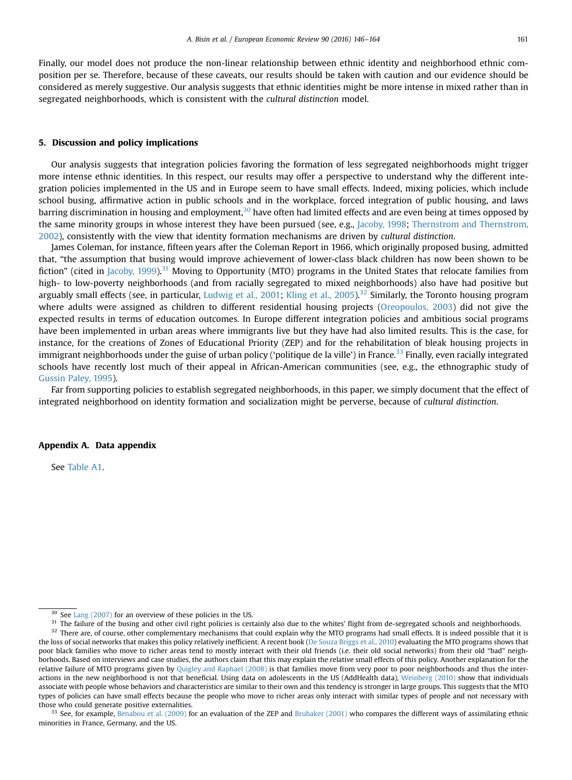Finally, our model does not produce the non-linear relationship between ethnic identity and neighborhood ethnic composition per se. Therefore, because of these caveats, our results should be taken with caution and our evidence should be considered as merely suggestive. Our analysis suggests that ethnic identities might be more intense in mixed rather than in segregated neighborhoods, which is consistent with the cultural distinction model.

#### 5. Discussion and policy implications

Our analysis suggests that integration policies favoring the formation of less segregated neighborhoods might trigger more intense ethnic identities. In this respect, our results may offer a perspective to understand why the different integration policies implemented in the US and in Europe seem to have small effects. Indeed, mixing policies, which include school busing, affirmative action in public schools and in the workplace, forced integration of public housing, and laws barring discrimination in housing and employment,<sup>30</sup> have often had limited effects and are even being at times opposed by the same minority groups in whose interest they have been pursued (see, e.g., [Jacoby, 1998;](#page-17-0) [Thernstrom and Thernstrom,](#page-18-0) [2002](#page-18-0)), consistently with the view that identity formation mechanisms are driven by cultural distinction.

James Coleman, for instance, fifteen years after the Coleman Report in 1966, which originally proposed busing, admitted that, "the assumption that busing would improve achievement of lower-class black children has now been shown to be fiction" (cited in  $[acoby, 1999]$ <sup>31</sup> Moving to Opportunity (MTO) programs in the United States that relocate families from high- to low-poverty neighborhoods (and from racially segregated to mixed neighborhoods) also have had positive but arguably small effects (see, in particular, [Ludwig et al., 2001;](#page-17-0) [Kling et al., 2005\)](#page-17-0).<sup>32</sup> Similarly, the Toronto housing program where adults were assigned as children to different residential housing projects ([Oreopoulos, 2003](#page-18-0)) did not give the expected results in terms of education outcomes. In Europe different integration policies and ambitious social programs have been implemented in urban areas where immigrants live but they have had also limited results. This is the case, for instance, for the creations of Zones of Educational Priority (ZEP) and for the rehabilitation of bleak housing projects in immigrant neighborhoods under the guise of urban policy ('politique de la ville') in France.<sup>33</sup> Finally, even racially integrated schools have recently lost much of their appeal in African-American communities (see, e.g., the ethnographic study of [Gussin Paley, 1995](#page-17-0)).

Far from supporting policies to establish segregated neighborhoods, in this paper, we simply document that the effect of integrated neighborhood on identity formation and socialization might be perverse, because of cultural distinction.

### Appendix A. Data appendix

See [Table A1](#page-16-0).

<sup>30</sup> See [Lang \(2007\)](#page-17-0) for an overview of these policies in the US.

<sup>&</sup>lt;sup>31</sup> The failure of the busing and other civil right policies is certainly also due to the whites' flight from de-segregated schools and neighborhoods. <sup>32</sup> There are, of course, other complementary mechanisms that could explain why the MTO programs had small effects. It is indeed possible that it is the loss of social networks that makes this policy relatively inefficient. A recent book ([De Souza Briggs et al., 2010](#page-17-0)) evaluating the MTO programs shows that poor black families who move to richer areas tend to mostly interact with their old friends (i.e. their old social networks) from their old "bad" neighborhoods. Based on interviews and case studies, the authors claim that this may explain the relative small effects of this policy. Another explanation for the relative failure of MTO programs given by [Quigley and Raphael \(2008\)](#page-18-0) is that families move from very poor to poor neighborhoods and thus the inter-actions in the new neighborhood is not that beneficial. Using data on adolescents in the US (AddHealth data), [Weinberg \(2010\)](#page-18-0) show that individuals associate with people whose behaviors and characteristics are similar to their own and this tendency is stronger in large groups. This suggests that the MTO types of policies can have small effects because the people who move to richer areas only interact with similar types of people and not necessary with those who could generate positive externalities.

 $33$  See, for example, [Benabou et al. \(2009\)](#page-17-0) for an evaluation of the ZEP and [Brubaker \(2001\)](#page-17-0) who compares the different ways of assimilating ethnic minorities in France, Germany, and the US.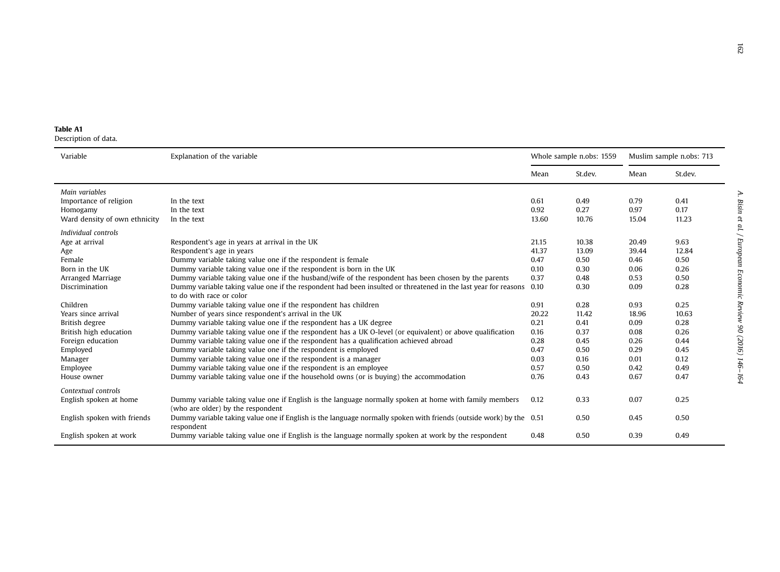## <span id="page-16-0"></span>Table A1

Description of data.  $\overline{\phantom{a}}$ 

| Variable                      | Explanation of the variable                                                                                                                 | Whole sample n.obs: 1559 |         | Muslim sample n.obs: 713 |         |
|-------------------------------|---------------------------------------------------------------------------------------------------------------------------------------------|--------------------------|---------|--------------------------|---------|
|                               |                                                                                                                                             | Mean                     | St.dev. | Mean                     | St.dev. |
| Main variables                |                                                                                                                                             |                          |         |                          |         |
| Importance of religion        | In the text                                                                                                                                 | 0.61                     | 0.49    | 0.79                     | 0.41    |
| Homogamy                      | In the text                                                                                                                                 | 0.92                     | 0.27    | 0.97                     | 0.17    |
| Ward density of own ethnicity | In the text                                                                                                                                 | 13.60                    | 10.76   | 15.04                    | 11.23   |
| Individual controls           |                                                                                                                                             |                          |         |                          |         |
| Age at arrival                | Respondent's age in years at arrival in the UK                                                                                              | 21.15                    | 10.38   | 20.49                    | 9.63    |
| Age                           | Respondent's age in years                                                                                                                   | 41.37                    | 13.09   | 39.44                    | 12.84   |
| Female                        | Dummy variable taking value one if the respondent is female                                                                                 | 0.47                     | 0.50    | 0.46                     | 0.50    |
| Born in the UK                | Dummy variable taking value one if the respondent is born in the UK                                                                         | 0.10                     | 0.30    | 0.06                     | 0.26    |
| Arranged Marriage             | Dummy variable taking value one if the husband/wife of the respondent has been chosen by the parents                                        | 0.37                     | 0.48    | 0.53                     | 0.50    |
| Discrimination                | Dummy variable taking value one if the respondent had been insulted or threatened in the last year for reasons                              | 0.10                     | 0.30    | 0.09                     | 0.28    |
|                               | to do with race or color                                                                                                                    |                          |         |                          |         |
| Children                      | Dummy variable taking value one if the respondent has children                                                                              | 0.91                     | 0.28    | 0.93                     | 0.25    |
| Years since arrival           | Number of years since respondent's arrival in the UK                                                                                        | 20.22                    | 11.42   | 18.96                    | 10.63   |
| British degree                | Dummy variable taking value one if the respondent has a UK degree                                                                           | 0.21                     | 0.41    | 0.09                     | 0.28    |
| British high education        | Dummy variable taking value one if the respondent has a UK O-level (or equivalent) or above qualification                                   | 0.16                     | 0.37    | 0.08                     | 0.26    |
| Foreign education             | Dummy variable taking value one if the respondent has a qualification achieved abroad                                                       | 0.28                     | 0.45    | 0.26                     | 0.44    |
| Employed                      | Dummy variable taking value one if the respondent is employed                                                                               | 0.47                     | 0.50    | 0.29                     | 0.45    |
| Manager                       | Dummy variable taking value one if the respondent is a manager                                                                              | 0.03                     | 0.16    | 0.01                     | 0.12    |
| Employee                      | Dummy variable taking value one if the respondent is an employee                                                                            | 0.57                     | 0.50    | 0.42                     | 0.49    |
| House owner                   | Dummy variable taking value one if the household owns (or is buying) the accommodation                                                      | 0.76                     | 0.43    | 0.67                     | 0.47    |
| Contextual controls           |                                                                                                                                             |                          |         |                          |         |
| English spoken at home        | Dummy variable taking value one if English is the language normally spoken at home with family members<br>(who are older) by the respondent | 0.12                     | 0.33    | 0.07                     | 0.25    |
| English spoken with friends   | Dummy variable taking value one if English is the language normally spoken with friends (outside work) by the 0.51<br>respondent            |                          | 0.50    | 0.45                     | 0.50    |
| English spoken at work        | Dummy variable taking value one if English is the language normally spoken at work by the respondent                                        | 0.48                     | 0.50    | 0.39                     | 0.49    |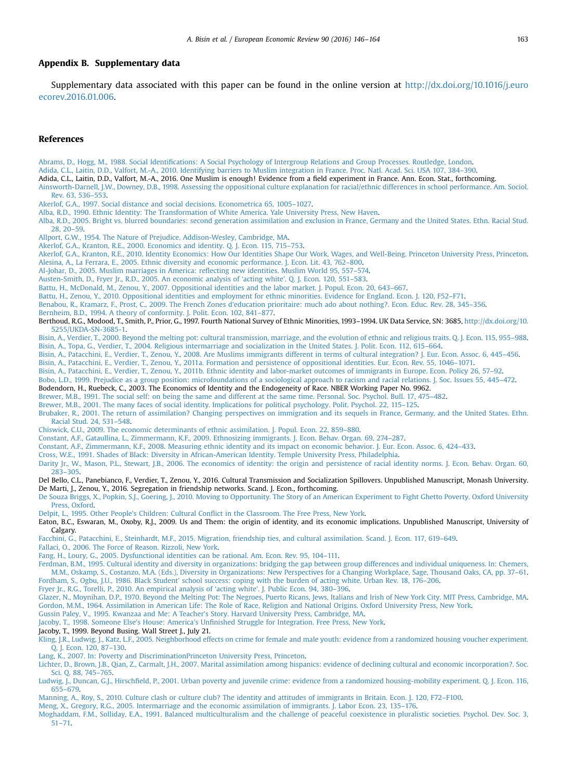## <span id="page-17-0"></span>Appendix B. Supplementary data

Supplementary data associated with this paper can be found in the online version at [http://dx.doi.org/10.1016/j.euro](http://dx.doi.org/10.1016/j.euroecorev.2016.01.006) [ecorev.2016.01.006](http://dx.doi.org/10.1016/j.euroecorev.2016.01.006).

#### References

Abrams, D., Hogg, M., 1988. Social Identifi[cations: A Social Psychology of Intergroup Relations and Group Processes. Routledge, London.](http://refhub.elsevier.com/S0014-2921(16)30008-3/sbref1)

- [Adida, C.L., Laitin, D.D., Valfort, M.-A., 2010. Identifying barriers to Muslim integration in France. Proc. Natl. Acad. Sci. USA 107, 384](http://refhub.elsevier.com/S0014-2921(16)30008-3/sbref2)–390.
- Adida, C.L., Laitin, D.D., Valfort, M.-A., 2016. One Muslim is enough! Evidence from a field experiment in France. Ann. Econ. Stat., forthcoming.
- [Ainsworth-Darnell, J.W., Downey, D.B., 1998. Assessing the oppositional culture explanation for racial/ethnic differences in school performance. Am. Sociol.](http://refhub.elsevier.com/S0014-2921(16)30008-3/sbref4) [Rev. 63, 536](http://refhub.elsevier.com/S0014-2921(16)30008-3/sbref4)–553.
- [Akerlof, G.A., 1997. Social distance and social decisions. Econometrica 65, 1005](http://refhub.elsevier.com/S0014-2921(16)30008-3/sbref5)–1027.
- [Alba, R.D., 1990. Ethnic Identity: The Transformation of White America. Yale University Press, New Haven.](http://refhub.elsevier.com/S0014-2921(16)30008-3/sbref6)
- [Alba, R.D., 2005. Bright vs. blurred boundaries: second generation assimilation and exclusion in France, Germany and the United States. Ethn. Racial Stud.](http://refhub.elsevier.com/S0014-2921(16)30008-3/sbref7) [28, 20](http://refhub.elsevier.com/S0014-2921(16)30008-3/sbref7)–59.
- [Allport, G.W., 1954. The Nature of Prejudice. Addison-Wesley, Cambridge, MA.](http://refhub.elsevier.com/S0014-2921(16)30008-3/sbref8)
- [Akerlof, G.A., Kranton, R.E., 2000. Economics and identity. Q. J. Econ. 115, 715](http://refhub.elsevier.com/S0014-2921(16)30008-3/sbref9)–753.
- [Akerlof, G.A., Kranton, R.E., 2010. Identity Economics: How Our Identities Shape Our Work, Wages, and Well-Being. Princeton University Press, Princeton.](http://refhub.elsevier.com/S0014-2921(16)30008-3/sbref10) [Alesina, A., La Ferrara, E., 2005. Ethnic diversity and economic performance. J. Econ. Lit. 43, 762](http://refhub.elsevier.com/S0014-2921(16)30008-3/sbref11)–800.
- [Al-Johar, D., 2005. Muslim marriages in America: re](http://refhub.elsevier.com/S0014-2921(16)30008-3/sbref12)flecting new identities. Muslim World 95, 557–574.
- [Austen-Smith, D., Fryer Jr., R.D., 2005. An economic analysis of](http://refhub.elsevier.com/S0014-2921(16)30008-3/sbref13) 'acting white'. Q. J. Econ. 120, 551–583.
- [Battu, H., McDonald, M., Zenou, Y., 2007. Oppositional identities and the labor market. J. Popul. Econ. 20, 643](http://refhub.elsevier.com/S0014-2921(16)30008-3/sbref14)–667.

[Battu, H., Zenou, Y., 2010. Oppositional identities and employment for ethnic minorities. Evidence for England. Econ. J. 120, F52](http://refhub.elsevier.com/S0014-2921(16)30008-3/sbref15)–F71.

- [Benabou, R., Kramarz, F., Prost, C., 2009. The French Zones d'education prioritaire: much ado about nothing?. Econ. Educ. Rev. 28, 345](http://refhub.elsevier.com/S0014-2921(16)30008-3/sbref16)–356.
- [Bernheim, B.D., 1994. A theory of conformity. J. Polit. Econ. 102, 841](http://refhub.elsevier.com/S0014-2921(16)30008-3/sbref17)–877.

Berthoud, R.G., Modood, T., Smith, P., Prior, G., 1997. Fourth National Survey of Ethnic Minorities, 1993–1994. UK Data Service, SN: 3685, [http://dx.doi.org/10.](dx.doi.org/10.5255/UKDA-SN-3685-1) [5255/UKDA-SN-3685-1.](dx.doi.org/10.5255/UKDA-SN-3685-1)

- [Bisin, A., Verdier, T., 2000. Beyond the melting pot: cultural transmission, marriage, and the evolution of ethnic and religious traits. Q. J. Econ. 115, 955](http://refhub.elsevier.com/S0014-2921(16)30008-3/sbref20)–988. [Bisin, A., Topa, G., Verdier, T., 2004. Religious intermarriage and socialization in the United States. J. Polit. Econ. 112, 615](http://refhub.elsevier.com/S0014-2921(16)30008-3/sbref21)–664.
- [Bisin, A., Patacchini, E., Verdier, T., Zenou, Y., 2008. Are Muslims immigrants different in terms of cultural integration? J. Eur. Econ. Assoc. 6, 445](http://refhub.elsevier.com/S0014-2921(16)30008-3/sbref22)–456.
- [Bisin, A., Patacchini, E., Verdier, T., Zenou, Y., 2011a. Formation and persistence of oppositional identities. Eur. Econ. Rev. 55, 1046](http://refhub.elsevier.com/S0014-2921(16)30008-3/sbref23)–1071.
- [Bisin, A., Patacchini, E., Verdier, T., Zenou, Y., 2011b. Ethnic identity and labor-market outcomes of immigrants in Europe. Econ. Policy 26, 57](http://refhub.elsevier.com/S0014-2921(16)30008-3/sbref24)–92.
- [Bobo, L.D., 1999. Prejudice as a group position: microfoundations of a sociological approach to racism and racial relations. J. Soc. Issues 55, 445](http://refhub.elsevier.com/S0014-2921(16)30008-3/sbref25)–472.
- Bodendorn, H., Ruebeck, C., 2003. The Economics of Identity and the Endogeneity of Race. NBER Working Paper No. 9962.
- [Brewer, M.B., 1991. The social self: on being the same and different at the same time. Personal. Soc. Psychol. Bull. 17, 475](http://refhub.elsevier.com/S0014-2921(16)30008-3/sbref27)–482.
- [Brewer, M.B., 2001. The many faces of social identity. Implications for political psychology. Polit. Psychol. 22, 115](http://refhub.elsevier.com/S0014-2921(16)30008-3/sbref28)–125.
- [Brubaker, R., 2001. The return of assimilation? Changing perspectives on immigration and its sequels in France, Germany, and the United States. Ethn.](http://refhub.elsevier.com/S0014-2921(16)30008-3/sbref29) [Racial Stud. 24, 531](http://refhub.elsevier.com/S0014-2921(16)30008-3/sbref29)–548.
- [Chiswick, C.U., 2009. The economic determinants of ethnic assimilation. J. Popul. Econ. 22, 859](http://refhub.elsevier.com/S0014-2921(16)30008-3/sbref31)–880.
- [Constant, A.F., Gataullina, L., Zimmermann, K.F., 2009. Ethnosizing immigrants. J. Econ. Behav. Organ. 69, 274](http://refhub.elsevier.com/S0014-2921(16)30008-3/sbref32)–287.
- [Constant, A.F., Zimmermann, K.F., 2008. Measuring ethnic identity and its impact on economic behavior. J. Eur. Econ. Assoc. 6, 424](http://refhub.elsevier.com/S0014-2921(16)30008-3/sbref33)–433.
- [Cross, W.E., 1991. Shades of Black: Diversity in African-American Identity. Temple University Press, Philadelphia.](http://refhub.elsevier.com/S0014-2921(16)30008-3/sbref34)
- [Darity Jr., W., Mason, P.L., Stewart, J.B., 2006. The economics of identity: the origin and persistence of racial identity norms. J. Econ. Behav. Organ. 60,](http://refhub.elsevier.com/S0014-2921(16)30008-3/sbref35) [283](http://refhub.elsevier.com/S0014-2921(16)30008-3/sbref35)–[305.](http://refhub.elsevier.com/S0014-2921(16)30008-3/sbref35)
- Del Bello, C.L., Panebianco, F., Verdier, T., Zenou, Y., 2016. Cultural Transmission and Socialization Spillovers. Unpublished Manuscript, Monash University. De Marti, J., Zenou, Y., 2016. Segregation in friendship networks. Scand. J. Econ., forthcoming.
- [De Souza Briggs, X., Popkin, S.J., Goering, J., 2010. Moving to Opportunity. The Story of an American Experiment to Fight Ghetto Poverty. Oxford University](http://refhub.elsevier.com/S0014-2921(16)30008-3/sbref37) [Press, Oxford.](http://refhub.elsevier.com/S0014-2921(16)30008-3/sbref37)
- [Delpit, L., 1995. Other People's Children: Cultural Con](http://refhub.elsevier.com/S0014-2921(16)30008-3/sbref38)flict in the Classroom. The Free Press, New York.
- Eaton, B.C., Eswaran, M., Oxoby, R.J., 2009. Us and Them: the origin of identity, and its economic implications. Unpublished Manuscript, University of Calgary.
- [Facchini, G., Patacchini, E., Steinhardt, M.F., 2015. Migration, friendship ties, and cultural assimilation. Scand. J. Econ. 117, 619](http://refhub.elsevier.com/S0014-2921(16)30008-3/sbref40)–649.
- [Fallaci, O., 2006. The Force of Reason. Rizzoli, New York.](http://refhub.elsevier.com/S0014-2921(16)30008-3/sbref41)
- [Fang, H., Loury, G., 2005. Dysfunctional identities can be rational. Am. Econ. Rev. 95, 104](http://refhub.elsevier.com/S0014-2921(16)30008-3/sbref42)–111.
- [Ferdman, B.M., 1995. Cultural identity and diversity in organizations: bridging the gap between group differences and individual uniqueness. In: Chemers,](http://refhub.elsevier.com/S0014-2921(16)30008-3/sbref43) [M.M., Oskamp, S., Costanzo, M.A. \(Eds.\), Diversity in Organizations: New Perspectives for a Changing Workplace, Sage, Thousand Oaks, CA, pp. 37](http://refhub.elsevier.com/S0014-2921(16)30008-3/sbref43)–61. [Fordham, S., Ogbu, J.U., 1986. Black Student' school success: coping with the burden of acting white. Urban Rev. 18, 176](http://refhub.elsevier.com/S0014-2921(16)30008-3/sbref44)–206.
- [Fryer Jr., R.G., Torelli, P., 2010. An empirical analysis of](http://refhub.elsevier.com/S0014-2921(16)30008-3/sbref45) 'acting white'. J. Public Econ. 94, 380–396.
- [Glazer, N., Moynihan, D.P., 1970. Beyond the Melting Pot: The Negroes, Puerto Ricans, Jews, Italians and Irish of New York City. MIT Press, Cambridge,](http://refhub.elsevier.com/S0014-2921(16)30008-3/sbref47) MA. [Gordon, M.M., 1964. Assimilation in American Life: The Role of Race, Religion and National Origins. Oxford University Press, New York.](http://refhub.elsevier.com/S0014-2921(16)30008-3/sbref48)
- [Gussin Paley, V., 1995. Kwanzaa and Me: A Teacher's Story. Harvard University Press, Cambridge, MA.](http://refhub.elsevier.com/S0014-2921(16)30008-3/sbref49)
- Jacoby, T., 1998. Someone Else's House: America's Unfi[nished Struggle for Integration. Free Press, New York.](http://refhub.elsevier.com/S0014-2921(16)30008-3/sbref50)

Jacoby, T., 1999. Beyond Busing. Wall Street J., July 21.

[Kling, J.R., Ludwig, J., Katz, L.F., 2005. Neighborhood effects on crime for female and male youth: evidence from a randomized housing voucher experiment.](http://refhub.elsevier.com/S0014-2921(16)30008-3/sbref52) [Q. J. Econ. 120, 87](http://refhub.elsevier.com/S0014-2921(16)30008-3/sbref52)–130.

- [Lang, K., 2007. In: Poverty and DiscriminationPrinceton University Press, Princeton.](http://refhub.elsevier.com/S0014-2921(16)30008-3/sbref53)
- [Lichter, D., Brown, J.B., Qian, Z., Carmalt, J.H., 2007. Marital assimilation among hispanics: evidence of declining cultural and economic incorporation?. Soc.](http://refhub.elsevier.com/S0014-2921(16)30008-3/sbref54) [Sci. Q. 88, 745](http://refhub.elsevier.com/S0014-2921(16)30008-3/sbref54)–765.
- Ludwig, J., Duncan, G.J., Hirschfi[eld, P., 2001. Urban poverty and juvenile crime: evidence from a randomized housing-mobility experiment. Q. J. Econ. 116,](http://refhub.elsevier.com/S0014-2921(16)30008-3/sbref55) [655](http://refhub.elsevier.com/S0014-2921(16)30008-3/sbref55)–[679.](http://refhub.elsevier.com/S0014-2921(16)30008-3/sbref55)
- [Manning, A., Roy, S., 2010. Culture clash or culture club? The identity and attitudes of immigrants in Britain. Econ. J. 120, F72](http://refhub.elsevier.com/S0014-2921(16)30008-3/sbref57)–F100.
- [Meng, X., Gregory, R.G., 2005. Intermarriage and the economic assimilation of immigrants. J. Labor Econ. 23, 135](http://refhub.elsevier.com/S0014-2921(16)30008-3/sbref58)–176.
- [Moghaddam, F.M., Solliday, E.A., 1991. Balanced multiculturalism and the challenge of peaceful coexistence in pluralistic societies. Psychol. Dev. Soc. 3,](http://refhub.elsevier.com/S0014-2921(16)30008-3/sbref59) [51](http://refhub.elsevier.com/S0014-2921(16)30008-3/sbref59)–[71.](http://refhub.elsevier.com/S0014-2921(16)30008-3/sbref59)